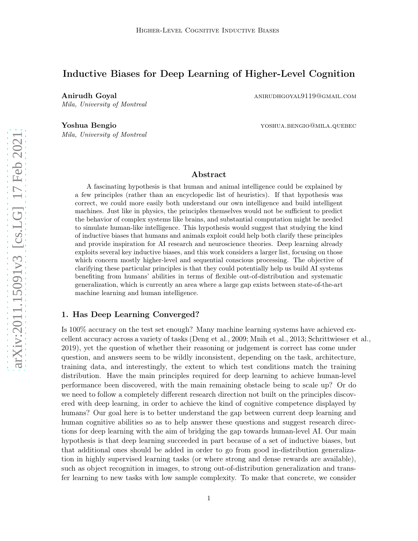# Inductive Biases for Deep Learning of Higher-Level Cognition

Anirudh Goyal anirudh Goyal anirudh Goyal Mila, University of Montreal

Mila, University of Montreal

Yoshua Bengio **yoshua.bengio yoshua.bengio@mila.quebec** 

## Abstract

A fascinating hypothesis is that human and animal intelligence could be explained by a few principles (rather than an encyclopedic list of heuristics). If that hypothesis was correct, we could more easily both understand our own intelligence and build intelligent machines. Just like in physics, the principles themselves would not be sufficient to predict the behavior of complex systems like brains, and substantial computation might be needed to simulate human-like intelligence. This hypothesis would suggest that studying the kind of inductive biases that humans and animals exploit could help both clarify these principles and provide inspiration for AI research and neuroscience theories. Deep learning already exploits several key inductive biases, and this work considers a larger list, focusing on those which concern mostly higher-level and sequential conscious processing. The objective of clarifying these particular principles is that they could potentially help us build AI systems benefiting from humans' abilities in terms of flexible out-of-distribution and systematic generalization, which is currently an area where a large gap exists between state-of-the-art machine learning and human intelligence.

### 1. Has Deep Learning Converged?

Is 100% accuracy on the test set enough? Many machine learning systems have achieved excellent accuracy across a variety of tasks [\(Deng et al., 2009;](#page-36-0) [Mnih et al.](#page-39-0), [2013](#page-39-0); [Schrittwieser et al.](#page-40-0), [2019\)](#page-40-0), yet the question of whether their reasoning or judgement is correct has come under question, and answers seem to be wildly inconsistent, depending on the task, architecture, training data, and interestingly, the extent to which test conditions match the training distribution. Have the main principles required for deep learning to achieve human-level performance been discovered, with the main remaining obstacle being to scale up? Or do we need to follow a completely different research direction not built on the principles discovered with deep learning, in order to achieve the kind of cognitive competence displayed by humans? Our goal here is to better understand the gap between current deep learning and human cognitive abilities so as to help answer these questions and suggest research directions for deep learning with the aim of bridging the gap towards human-level AI. Our main hypothesis is that deep learning succeeded in part because of a set of inductive biases, but that additional ones should be added in order to go from good in-distribution generalization in highly supervised learning tasks (or where strong and dense rewards are available), such as object recognition in images, to strong out-of-distribution generalization and transfer learning to new tasks with low sample complexity. To make that concrete, we consider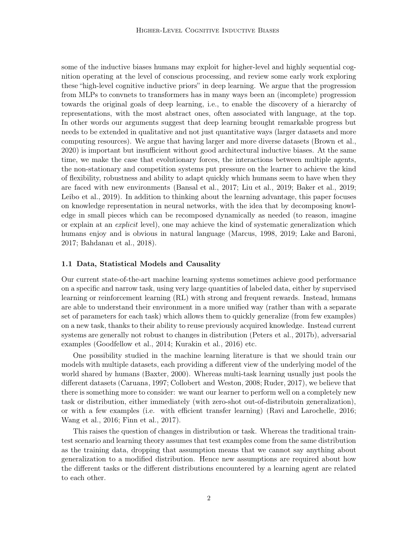some of the inductive biases humans may exploit for higher-level and highly sequential cognition operating at the level of conscious processing, and review some early work exploring these "high-level cognitive inductive priors" in deep learning. We argue that the progression from MLPs to convnets to transformers has in many ways been an (incomplete) progression towards the original goals of deep learning, i.e., to enable the discovery of a hierarchy of representations, with the most abstract ones, often associated with language, at the top. In other words our arguments suggest that deep learning brought remarkable progress but needs to be extended in qualitative and not just quantitative ways (larger datasets and more computing resources). We argue that having larger and more diverse datasets [\(Brown et al.,](#page-35-0) [2020\)](#page-35-0) is important but insufficient without good architectural inductive biases. At the same time, we make the case that evolutionary forces, the interactions between multiple agents, the non-stationary and competition systems put pressure on the learner to achieve the kind of flexibility, robustness and ability to adapt quickly which humans seem to have when they are faced with new environments [\(Bansal et al., 2017;](#page-34-0) [Liu et al., 2019](#page-38-0); [Baker et al., 2019;](#page-34-1) [Leibo et al.](#page-38-1), [2019\)](#page-38-1). In addition to thinking about the learning advantage, this paper focuses on knowledge representation in neural networks, with the idea that by decomposing knowledge in small pieces which can be recomposed dynamically as needed (to reason, imagine or explain at an explicit level), one may achieve the kind of systematic generalization which humans enjoy and is obvious in natural language [\(Marcus](#page-38-2), [1998,](#page-38-2) [2019](#page-38-3); [Lake and Baroni,](#page-38-4) [2017;](#page-38-4) [Bahdanau et al.](#page-34-2), [2018](#page-34-2)).

#### <span id="page-1-0"></span>1.1 Data, Statistical Models and Causality

Our current state-of-the-art machine learning systems sometimes achieve good performance on a specific and narrow task, using very large quantities of labeled data, either by supervised learning or reinforcement learning (RL) with strong and frequent rewards. Instead, humans are able to understand their environment in a more unified way (rather than with a separate set of parameters for each task) which allows them to quickly generalize (from few examples) on a new task, thanks to their ability to reuse previously acquired knowledge. Instead current systems are generally not robust to changes in distribution [\(Peters et al., 2017b](#page-39-1)), adversarial examples [\(Goodfellow et al., 2014](#page-36-1); [Kurakin et al.](#page-38-5), [2016\)](#page-38-5) etc.

One possibility studied in the machine learning literature is that we should train our models with multiple datasets, each providing a different view of the underlying model of the world shared by humans [\(Baxter](#page-34-3), [2000](#page-34-3)). Whereas multi-task learning usually just pools the different datasets [\(Caruana](#page-35-1), [1997](#page-35-1); [Collobert and Weston, 2008](#page-35-2); [Ruder, 2017\)](#page-40-1), we believe that there is something more to consider: we want our learner to perform well on a completely new task or distribution, either immediately (with zero-shot out-of-distributoin generalization), or with a few examples (i.e. with efficient transfer learning) [\(Ravi and Larochelle](#page-40-2), [2016;](#page-40-2) [Wang et al., 2016](#page-41-0); [Finn et al., 2017\)](#page-36-2).

This raises the question of changes in distribution or task. Whereas the traditional traintest scenario and learning theory assumes that test examples come from the same distribution as the training data, dropping that assumption means that we cannot say anything about generalization to a modified distribution. Hence new assumptions are required about how the different tasks or the different distributions encountered by a learning agent are related to each other.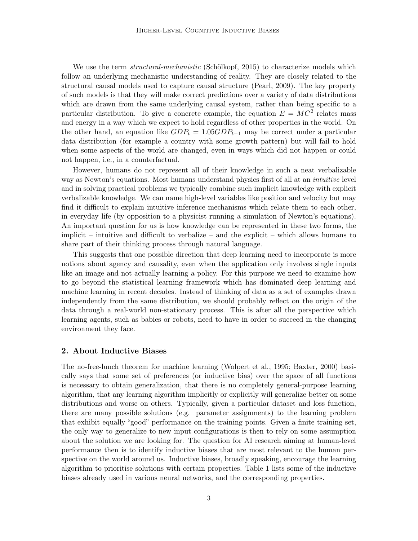We use the term *structural-mechanistic* [\(Schölkopf](#page-40-3), [2015\)](#page-40-3) to characterize models which follow an underlying mechanistic understanding of reality. They are closely related to the structural causal models used to capture causal structure [\(Pearl, 2009\)](#page-39-2). The key property of such models is that they will make correct predictions over a variety of data distributions which are drawn from the same underlying causal system, rather than being specific to a particular distribution. To give a concrete example, the equation  $E = MC^2$  relates mass and energy in a way which we expect to hold regardless of other properties in the world. On the other hand, an equation like  $GDP_t = 1.05GDP_{t-1}$  may be correct under a particular data distribution (for example a country with some growth pattern) but will fail to hold when some aspects of the world are changed, even in ways which did not happen or could not happen, i.e., in a counterfactual.

However, humans do not represent all of their knowledge in such a neat verbalizable way as Newton's equations. Most humans understand physics first of all at an *intuitive* level and in solving practical problems we typically combine such implicit knowledge with explicit verbalizable knowledge. We can name high-level variables like position and velocity but may find it difficult to explain intuitive inference mechanisms which relate them to each other, in everyday life (by opposition to a physicist running a simulation of Newton's equations). An important question for us is how knowledge can be represented in these two forms, the implicit – intuitive and difficult to verbalize – and the explicit – which allows humans to share part of their thinking process through natural language.

This suggests that one possible direction that deep learning need to incorporate is more notions about agency and causality, even when the application only involves single inputs like an image and not actually learning a policy. For this purpose we need to examine how to go beyond the statistical learning framework which has dominated deep learning and machine learning in recent decades. Instead of thinking of data as a set of examples drawn independently from the same distribution, we should probably reflect on the origin of the data through a real-world non-stationary process. This is after all the perspective which learning agents, such as babies or robots, need to have in order to succeed in the changing environment they face.

## <span id="page-2-0"></span>2. About Inductive Biases

The no-free-lunch theorem for machine learning [\(Wolpert et](#page-41-1) al., [1995;](#page-41-1) [Baxter](#page-34-3), [2000](#page-34-3)) basically says that some set of preferences (or inductive bias) over the space of all functions is necessary to obtain generalization, that there is no completely general-purpose learning algorithm, that any learning algorithm implicitly or explicitly will generalize better on some distributions and worse on others. Typically, given a particular dataset and loss function, there are many possible solutions (e.g. parameter assignments) to the learning problem that exhibit equally "good" performance on the training points. Given a finite training set, the only way to generalize to new input configurations is then to rely on some assumption about the solution we are looking for. The question for AI research aiming at human-level performance then is to identify inductive biases that are most relevant to the human perspective on the world around us. Inductive biases, broadly speaking, encourage the learning algorithm to prioritise solutions with certain properties. Table [1](#page-3-0) lists some of the inductive biases already used in various neural networks, and the corresponding properties.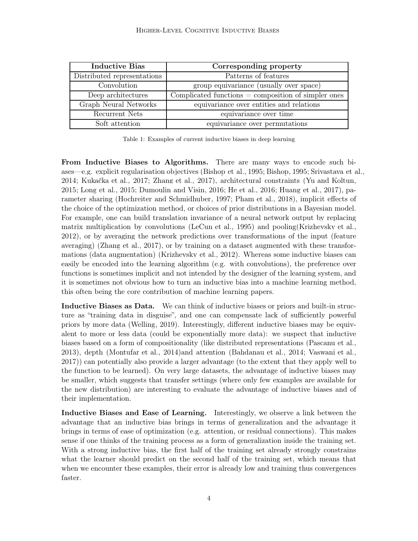<span id="page-3-0"></span>

| <b>Inductive Bias</b>       | Corresponding property                                  |
|-----------------------------|---------------------------------------------------------|
| Distributed representations | Patterns of features                                    |
| Convolution                 | group equivariance (usually over space)                 |
| Deep architectures          | $Complicated$ functions $=$ composition of simpler ones |
| Graph Neural Networks       | equivariance over entities and relations                |
| Recurrent Nets              | equivariance over time                                  |
| Soft attention              | equivariance over permutations                          |

Table 1: Examples of current inductive biases in deep learning

From Inductive Biases to Algorithms. There are many ways to encode such biases—e.g. explicit regularisation objectives [\(Bishop et al., 1995](#page-35-3); [Bishop, 1995](#page-35-4); [Srivastava et al.](#page-40-4), [2014;](#page-40-4) [Kukačka et al.](#page-38-6), [2017;](#page-38-6) [Zhang et al., 2017\)](#page-41-2), architectural constraints [\(Yu and Koltun,](#page-41-3) [2015;](#page-41-3) [Long et al.](#page-38-7), [2015](#page-38-7); [Dumoulin and Visin, 2016;](#page-36-3) [He et al., 2016](#page-37-0); [Huang et al.](#page-37-1), [2017](#page-37-1)), parameter sharing [\(Hochreiter and Schmidhuber](#page-37-2), [1997;](#page-37-2) [Pham et](#page-39-3) al., [2018\)](#page-39-3), implicit effects of the choice of the optimization method, or choices of prior distributions in a Bayesian model. For example, one can build translation invariance of a neural network output by replacing matrix multiplication by convolutions [\(LeCun et al.](#page-38-8), [1995\)](#page-38-8) and pooling[\(Krizhevsky et al.,](#page-38-9) [2012\)](#page-38-9), or by averaging the network predictions over transformations of the input (feature averaging) [\(Zhang et al.](#page-41-2), [2017](#page-41-2)), or by training on a dataset augmented with these transformations (data augmentation) [\(Krizhevsky et al., 2012\)](#page-38-9). Whereas some inductive biases can easily be encoded into the learning algorithm (e.g. with convolutions), the preference over functions is sometimes implicit and not intended by the designer of the learning system, and it is sometimes not obvious how to turn an inductive bias into a machine learning method, this often being the core contribution of machine learning papers.

Inductive Biases as Data. We can think of inductive biases or priors and built-in structure as "training data in disguise", and one can compensate lack of sufficiently powerful priors by more data [\(Welling](#page-41-4), [2019\)](#page-41-4). Interestingly, different inductive biases may be equivalent to more or less data (could be exponentially more data): we suspect that inductive biases based on a form of compositionality (like distributed representations [\(Pascanu et al.,](#page-39-4) [2013\)](#page-39-4), depth [\(Montufar et al., 2014](#page-39-5))and attention [\(Bahdanau](#page-34-4) et al., [2014;](#page-34-4) [Vaswani et al.,](#page-41-5) [2017\)](#page-41-5)) can potentially also provide a larger advantage (to the extent that they apply well to the function to be learned). On very large datasets, the advantage of inductive biases may be smaller, which suggests that transfer settings (where only few examples are available for the new distribution) are interesting to evaluate the advantage of inductive biases and of their implementation.

Inductive Biases and Ease of Learning. Interestingly, we observe a link between the advantage that an inductive bias brings in terms of generalization and the advantage it brings in terms of ease of optimization (e.g. attention, or residual connections). This makes sense if one thinks of the training process as a form of generalization inside the training set. With a strong inductive bias, the first half of the training set already strongly constrains what the learner should predict on the second half of the training set, which means that when we encounter these examples, their error is already low and training thus convergences faster.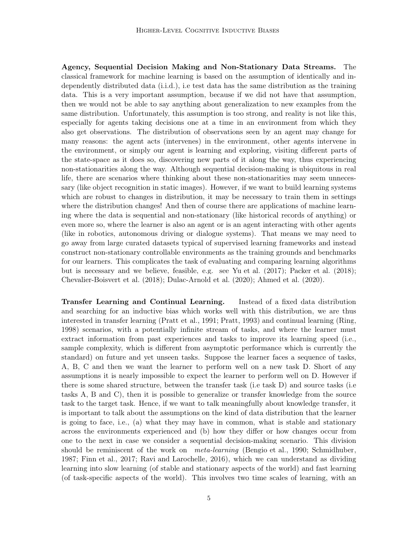Agency, Sequential Decision Making and Non-Stationary Data Streams. The classical framework for machine learning is based on the assumption of identically and independently distributed data (i.i.d.), i.e test data has the same distribution as the training data. This is a very important assumption, because if we did not have that assumption, then we would not be able to say anything about generalization to new examples from the same distribution. Unfortunately, this assumption is too strong, and reality is not like this, especially for agents taking decisions one at a time in an environment from which they also get observations. The distribution of observations seen by an agent may change for many reasons: the agent acts (intervenes) in the environment, other agents intervene in the environment, or simply our agent is learning and exploring, visiting different parts of the state-space as it does so, discovering new parts of it along the way, thus experiencing non-stationarities along the way. Although sequential decision-making is ubiquitous in real life, there are scenarios where thinking about these non-stationarities may seem unnecessary (like object recognition in static images). However, if we want to build learning systems which are robust to changes in distribution, it may be necessary to train them in settings where the distribution changes! And then of course there are applications of machine learning where the data is sequential and non-stationary (like historical records of anything) or even more so, where the learner is also an agent or is an agent interacting with other agents (like in robotics, autonomous driving or dialogue systems). That means we may need to go away from large curated datasets typical of supervised learning frameworks and instead construct non-stationary controllable environments as the training grounds and benchmarks for our learners. This complicates the task of evaluating and comparing learning algorithms but is necessary and we believe, feasible, e.g. see [Yu et al. \(2017](#page-41-6)); [Packer et al. \(2018\)](#page-39-6); [Chevalier-Boisvert et al.](#page-35-5) [\(2018](#page-35-5)); [Dulac-Arnold et al. \(2020](#page-36-4)); [Ahmed et al. \(2020](#page-34-5)).

Transfer Learning and Continual Learning. Instead of a fixed data distribution and searching for an inductive bias which works well with this distribution, we are thus interested in transfer learning [\(Pratt et al., 1991](#page-39-7); [Pratt,](#page-39-8) [1993\)](#page-39-8) and continual learning [\(Ring,](#page-40-5) [1998\)](#page-40-5) scenarios, with a potentially infinite stream of tasks, and where the learner must extract information from past experiences and tasks to improve its learning speed (i.e., sample complexity, which is different from asymptotic performance which is currently the standard) on future and yet unseen tasks. Suppose the learner faces a sequence of tasks, A, B, C and then we want the learner to perform well on a new task D. Short of any assumptions it is nearly impossible to expect the learner to perform well on D. However if there is some shared structure, between the transfer task (i.e task D) and source tasks (i.e tasks A, B and C), then it is possible to generalize or transfer knowledge from the source task to the target task. Hence, if we want to talk meaningfully about knowledge transfer, it is important to talk about the assumptions on the kind of data distribution that the learner is going to face, i.e., (a) what they may have in common, what is stable and stationary across the environments experienced and (b) how they differ or how changes occur from one to the next in case we consider a sequential decision-making scenario. This division should be reminiscent of the work on *meta-learning* [\(Bengio et al.](#page-35-6), [1990](#page-35-6); [Schmidhuber,](#page-40-6) [1987;](#page-40-6) [Finn et al.](#page-36-2), [2017](#page-36-2); [Ravi and Larochelle, 2016](#page-40-2)), which we can understand as dividing learning into slow learning (of stable and stationary aspects of the world) and fast learning (of task-specific aspects of the world). This involves two time scales of learning, with an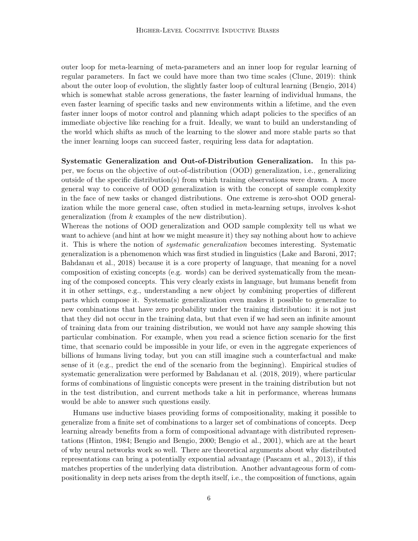outer loop for meta-learning of meta-parameters and an inner loop for regular learning of regular parameters. In fact we could have more than two time scales [\(Clune, 2019](#page-35-7)): think about the outer loop of evolution, the slightly faster loop of cultural learning [\(Bengio, 2014\)](#page-35-8) which is somewhat stable across generations, the faster learning of individual humans, the even faster learning of specific tasks and new environments within a lifetime, and the even faster inner loops of motor control and planning which adapt policies to the specifics of an immediate objective like reaching for a fruit. Ideally, we want to build an understanding of the world which shifts as much of the learning to the slower and more stable parts so that the inner learning loops can succeed faster, requiring less data for adaptation.

Systematic Generalization and Out-of-Distribution Generalization. In this paper, we focus on the objective of out-of-distribution (OOD) generalization, i.e., generalizing outside of the specific distribution(s) from which training observations were drawn. A more general way to conceive of OOD generalization is with the concept of sample complexity in the face of new tasks or changed distributions. One extreme is zero-shot OOD generalization while the more general case, often studied in meta-learning setups, involves k-shot generalization (from  $k$  examples of the new distribution).

Whereas the notions of OOD generalization and OOD sample complexity tell us what we want to achieve (and hint at how we might measure it) they say nothing about how to achieve it. This is where the notion of systematic generalization becomes interesting. Systematic generalization is a phenomenon which was first studied in linguistics [\(Lake and Baroni, 2017;](#page-38-4) [Bahdanau et al., 2018](#page-34-2)) because it is a core property of language, that meaning for a novel composition of existing concepts (e.g. words) can be derived systematically from the meaning of the composed concepts. This very clearly exists in language, but humans benefit from it in other settings, e.g., understanding a new object by combining properties of different parts which compose it. Systematic generalization even makes it possible to generalize to new combinations that have zero probability under the training distribution: it is not just that they did not occur in the training data, but that even if we had seen an infinite amount of training data from our training distribution, we would not have any sample showing this particular combination. For example, when you read a science fiction scenario for the first time, that scenario could be impossible in your life, or even in the aggregate experiences of billions of humans living today, but you can still imagine such a counterfactual and make sense of it (e.g., predict the end of the scenario from the beginning). Empirical studies of systematic generalization were performed by [Bahdanau et al.](#page-34-2) [\(2018,](#page-34-2) [2019](#page-34-6)), where particular forms of combinations of linguistic concepts were present in the training distribution but not in the test distribution, and current methods take a hit in performance, whereas humans would be able to answer such questions easily.

Humans use inductive biases providing forms of compositionality, making it possible to generalize from a finite set of combinations to a larger set of combinations of concepts. Deep learning already benefits from a form of compositional advantage with distributed representations [\(Hinton](#page-37-3), [1984](#page-37-3); [Bengio and Bengio, 2000;](#page-34-7) [Bengio et al., 2001\)](#page-35-9), which are at the heart of why neural networks work so well. There are theoretical arguments about why distributed representations can bring a potentially exponential advantage [\(Pascanu et al., 2013\)](#page-39-4), if this matches properties of the underlying data distribution. Another advantageous form of compositionality in deep nets arises from the depth itself, i.e., the composition of functions, again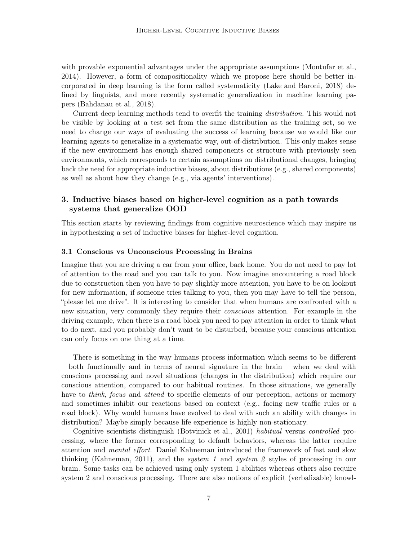with provable exponential advantages under the appropriate assumptions [\(Montufar et al.,](#page-39-5) [2014\)](#page-39-5). However, a form of compositionality which we propose here should be better incorporated in deep learning is the form called systematicity [\(Lake and Baroni](#page-38-10), [2018](#page-38-10)) defined by linguists, and more recently systematic generalization in machine learning papers [\(Bahdanau et al.](#page-34-2), [2018\)](#page-34-2).

Current deep learning methods tend to overfit the training distribution. This would not be visible by looking at a test set from the same distribution as the training set, so we need to change our ways of evaluating the success of learning because we would like our learning agents to generalize in a systematic way, out-of-distribution. This only makes sense if the new environment has enough shared components or structure with previously seen environments, which corresponds to certain assumptions on distributional changes, bringing back the need for appropriate inductive biases, about distributions (e.g., shared components) as well as about how they change (e.g., via agents' interventions).

# 3. Inductive biases based on higher-level cognition as a path towards systems that generalize OOD

This section starts by reviewing findings from cognitive neuroscience which may inspire us in hypothesizing a set of inductive biases for higher-level cognition.

### <span id="page-6-0"></span>3.1 Conscious vs Unconscious Processing in Brains

Imagine that you are driving a car from your office, back home. You do not need to pay lot of attention to the road and you can talk to you. Now imagine encountering a road block due to construction then you have to pay slightly more attention, you have to be on lookout for new information, if someone tries talking to you, then you may have to tell the person, "please let me drive". It is interesting to consider that when humans are confronted with a new situation, very commonly they require their conscious attention. For example in the driving example, when there is a road block you need to pay attention in order to think what to do next, and you probably don't want to be disturbed, because your conscious attention can only focus on one thing at a time.

There is something in the way humans process information which seems to be different – both functionally and in terms of neural signature in the brain – when we deal with conscious processing and novel situations (changes in the distribution) which require our conscious attention, compared to our habitual routines. In those situations, we generally have to *think, focus* and *attend* to specific elements of our perception, actions or memory and sometimes inhibit our reactions based on context (e.g., facing new traffic rules or a road block). Why would humans have evolved to deal with such an ability with changes in distribution? Maybe simply because life experience is highly non-stationary.

Cognitive scientists distinguish [\(Botvinick et al.](#page-35-10), [2001](#page-35-10)) habitual versus controlled processing, where the former corresponding to default behaviors, whereas the latter require attention and mental effort. Daniel Kahneman introduced the framework of fast and slow thinking [\(Kahneman, 2011](#page-37-4)), and the *system 1* and *system 2* styles of processing in our brain. Some tasks can be achieved using only system 1 abilities whereas others also require system 2 and conscious processing. There are also notions of explicit (verbalizable) knowl-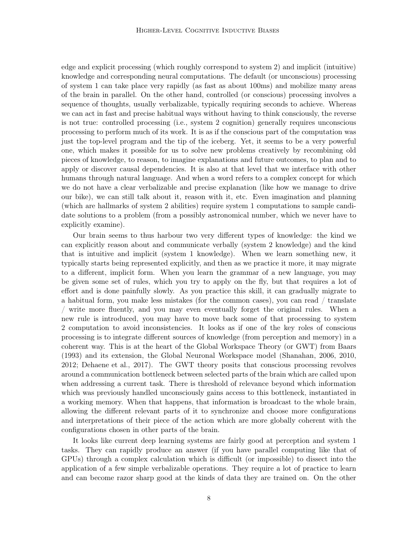edge and explicit processing (which roughly correspond to system 2) and implicit (intuitive) knowledge and corresponding neural computations. The default (or unconscious) processing of system 1 can take place very rapidly (as fast as about 100ms) and mobilize many areas of the brain in parallel. On the other hand, controlled (or conscious) processing involves a sequence of thoughts, usually verbalizable, typically requiring seconds to achieve. Whereas we can act in fast and precise habitual ways without having to think consciously, the reverse is not true: controlled processing (i.e., system 2 cognition) generally requires unconscious processing to perform much of its work. It is as if the conscious part of the computation was just the top-level program and the tip of the iceberg. Yet, it seems to be a very powerful one, which makes it possible for us to solve new problems creatively by recombining old pieces of knowledge, to reason, to imagine explanations and future outcomes, to plan and to apply or discover causal dependencies. It is also at that level that we interface with other humans through natural language. And when a word refers to a complex concept for which we do not have a clear verbalizable and precise explanation (like how we manage to drive our bike), we can still talk about it, reason with it, etc. Even imagination and planning (which are hallmarks of system 2 abilities) require system 1 computations to sample candidate solutions to a problem (from a possibly astronomical number, which we never have to explicitly examine).

Our brain seems to thus harbour two very different types of knowledge: the kind we can explicitly reason about and communicate verbally (system 2 knowledge) and the kind that is intuitive and implicit (system 1 knowledge). When we learn something new, it typically starts being represented explicitly, and then as we practice it more, it may migrate to a different, implicit form. When you learn the grammar of a new language, you may be given some set of rules, which you try to apply on the fly, but that requires a lot of effort and is done painfully slowly. As you practice this skill, it can gradually migrate to a habitual form, you make less mistakes (for the common cases), you can read / translate / write more fluently, and you may even eventually forget the original rules. When a new rule is introduced, you may have to move back some of that processing to system 2 computation to avoid inconsistencies. It looks as if one of the key roles of conscious processing is to integrate different sources of knowledge (from perception and memory) in a coherent way. This is at the heart of the Global Workspace Theory (or GWT) from [Baars](#page-34-8) [\(1993\)](#page-34-8) and its extension, the Global Neuronal Workspace model [\(Shanahan, 2006](#page-40-7), [2010,](#page-40-8) [2012;](#page-40-9) [Dehaene et al., 2017](#page-36-5)). The GWT theory posits that conscious processing revolves around a communication bottleneck between selected parts of the brain which are called upon when addressing a current task. There is threshold of relevance beyond which information which was previously handled unconsciously gains access to this bottleneck, instantiated in a working memory. When that happens, that information is broadcast to the whole brain, allowing the different relevant parts of it to synchronize and choose more configurations and interpretations of their piece of the action which are more globally coherent with the configurations chosen in other parts of the brain.

It looks like current deep learning systems are fairly good at perception and system 1 tasks. They can rapidly produce an answer (if you have parallel computing like that of GPUs) through a complex calculation which is difficult (or impossible) to dissect into the application of a few simple verbalizable operations. They require a lot of practice to learn and can become razor sharp good at the kinds of data they are trained on. On the other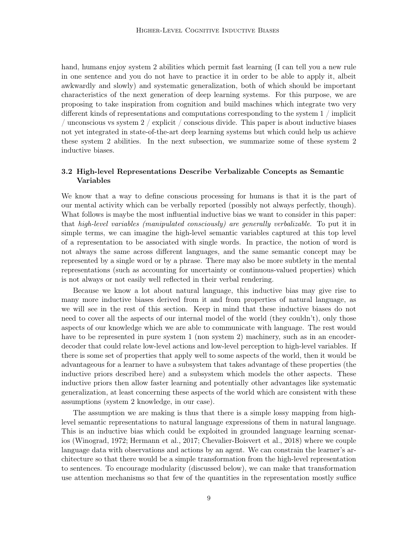hand, humans enjoy system 2 abilities which permit fast learning (I can tell you a new rule in one sentence and you do not have to practice it in order to be able to apply it, albeit awkwardly and slowly) and systematic generalization, both of which should be important characteristics of the next generation of deep learning systems. For this purpose, we are proposing to take inspiration from cognition and build machines which integrate two very different kinds of representations and computations corresponding to the system 1 / implicit / unconscious vs system  $2 /$  explicit / conscious divide. This paper is about inductive biases not yet integrated in state-of-the-art deep learning systems but which could help us achieve these system 2 abilities. In the next subsection, we summarize some of these system 2 inductive biases.

## <span id="page-8-0"></span>3.2 High-level Representations Describe Verbalizable Concepts as Semantic Variables

We know that a way to define conscious processing for humans is that it is the part of our mental activity which can be verbally reported (possibly not always perfectly, though). What follows is maybe the most influential inductive bias we want to consider in this paper: that high-level variables (manipulated consciously) are generally verbalizable. To put it in simple terms, we can imagine the high-level semantic variables captured at this top level of a representation to be associated with single words. In practice, the notion of word is not always the same across different languages, and the same semantic concept may be represented by a single word or by a phrase. There may also be more subtlety in the mental representations (such as accounting for uncertainty or continuous-valued properties) which is not always or not easily well reflected in their verbal rendering.

Because we know a lot about natural language, this inductive bias may give rise to many more inductive biases derived from it and from properties of natural language, as we will see in the rest of this section. Keep in mind that these inductive biases do not need to cover all the aspects of our internal model of the world (they couldn't), only those aspects of our knowledge which we are able to communicate with language. The rest would have to be represented in pure system 1 (non system 2) machinery, such as in an encoderdecoder that could relate low-level actions and low-level perception to high-level variables. If there is some set of properties that apply well to some aspects of the world, then it would be advantageous for a learner to have a subsystem that takes advantage of these properties (the inductive priors described here) and a subsystem which models the other aspects. These inductive priors then allow faster learning and potentially other advantages like systematic generalization, at least concerning these aspects of the world which are consistent with these assumptions (system 2 knowledge, in our case).

The assumption we are making is thus that there is a simple lossy mapping from highlevel semantic representations to natural language expressions of them in natural language. This is an inductive bias which could be exploited in grounded language learning scenarios [\(Winograd, 1972](#page-41-7); [Hermann et al., 2017;](#page-37-5) [Chevalier-Boisvert et al., 2018](#page-35-5)) where we couple language data with observations and actions by an agent. We can constrain the learner's architecture so that there would be a simple transformation from the high-level representation to sentences. To encourage modularity (discussed below), we can make that transformation use attention mechanisms so that few of the quantities in the representation mostly suffice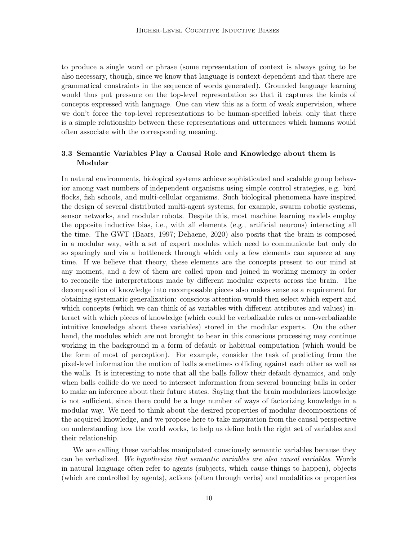to produce a single word or phrase (some representation of context is always going to be also necessary, though, since we know that language is context-dependent and that there are grammatical constraints in the sequence of words generated). Grounded language learning would thus put pressure on the top-level representation so that it captures the kinds of concepts expressed with language. One can view this as a form of weak supervision, where we don't force the top-level representations to be human-specified labels, only that there is a simple relationship between these representations and utterances which humans would often associate with the corresponding meaning.

# <span id="page-9-0"></span>3.3 Semantic Variables Play a Causal Role and Knowledge about them is Modular

In natural environments, biological systems achieve sophisticated and scalable group behavior among vast numbers of independent organisms using simple control strategies, e.g. bird flocks, fish schools, and multi-cellular organisms. Such biological phenomena have inspired the design of several distributed multi-agent systems, for example, swarm robotic systems, sensor networks, and modular robots. Despite this, most machine learning models employ the opposite inductive bias, i.e., with all elements (e.g., artificial neurons) interacting all the time. The GWT [\(Baars](#page-34-9), [1997](#page-34-9); [Dehaene](#page-36-6), [2020](#page-36-6)) also posits that the brain is composed in a modular way, with a set of expert modules which need to communicate but only do so sparingly and via a bottleneck through which only a few elements can squeeze at any time. If we believe that theory, these elements are the concepts present to our mind at any moment, and a few of them are called upon and joined in working memory in order to reconcile the interpretations made by different modular experts across the brain. The decomposition of knowledge into recomposable pieces also makes sense as a requirement for obtaining systematic generalization: conscious attention would then select which expert and which concepts (which we can think of as variables with different attributes and values) interact with which pieces of knowledge (which could be verbalizable rules or non-verbalizable intuitive knowledge about these variables) stored in the modular experts. On the other hand, the modules which are not brought to bear in this conscious processing may continue working in the background in a form of default or habitual computation (which would be the form of most of perception). For example, consider the task of predicting from the pixel-level information the motion of balls sometimes colliding against each other as well as the walls. It is interesting to note that all the balls follow their default dynamics, and only when balls collide do we need to intersect information from several bouncing balls in order to make an inference about their future states. Saying that the brain modularizes knowledge is not sufficient, since there could be a huge number of ways of factorizing knowledge in a modular way. We need to think about the desired properties of modular decompositions of the acquired knowledge, and we propose here to take inspiration from the causal perspective on understanding how the world works, to help us define both the right set of variables and their relationship.

We are calling these variables manipulated consciously semantic variables because they can be verbalized. We hypothesize that semantic variables are also causal variables. Words in natural language often refer to agents (subjects, which cause things to happen), objects (which are controlled by agents), actions (often through verbs) and modalities or properties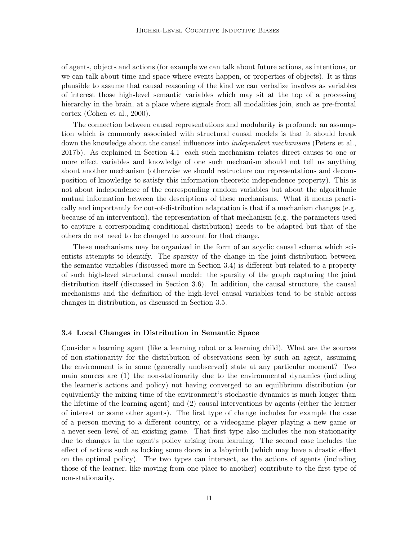of agents, objects and actions (for example we can talk about future actions, as intentions, or we can talk about time and space where events happen, or properties of objects). It is thus plausible to assume that causal reasoning of the kind we can verbalize involves as variables of interest those high-level semantic variables which may sit at the top of a processing hierarchy in the brain, at a place where signals from all modalities join, such as pre-frontal cortex [\(Cohen et al., 2000](#page-35-11)).

The connection between causal representations and modularity is profound: an assumption which is commonly associated with structural causal models is that it should break down the knowledge about the causal influences into *independent mechanisms* [\(Peters et al.,](#page-39-1) [2017b\)](#page-39-1). As explained in Section [4.1,](#page-18-0) each such mechanism relates direct causes to one or more effect variables and knowledge of one such mechanism should not tell us anything about another mechanism (otherwise we should restructure our representations and decomposition of knowledge to satisfy this information-theoretic independence property). This is not about independence of the corresponding random variables but about the algorithmic mutual information between the descriptions of these mechanisms. What it means practically and importantly for out-of-distribution adaptation is that if a mechanism changes (e.g. because of an intervention), the representation of that mechanism (e.g. the parameters used to capture a corresponding conditional distribution) needs to be adapted but that of the others do not need to be changed to account for that change.

These mechanisms may be organized in the form of an acyclic causal schema which scientists attempts to identify. The sparsity of the change in the joint distribution between the semantic variables (discussed more in Section [3.4\)](#page-10-0) is different but related to a property of such high-level structural causal model: the sparsity of the graph capturing the joint distribution itself (discussed in Section [3.6\)](#page-12-0). In addition, the causal structure, the causal mechanisms and the definition of the high-level causal variables tend to be stable across changes in distribution, as discussed in Section [3.5.](#page-11-0)

#### <span id="page-10-0"></span>3.4 Local Changes in Distribution in Semantic Space

Consider a learning agent (like a learning robot or a learning child). What are the sources of non-stationarity for the distribution of observations seen by such an agent, assuming the environment is in some (generally unobserved) state at any particular moment? Two main sources are (1) the non-stationarity due to the environmental dynamics (including the learner's actions and policy) not having converged to an equilibrium distribution (or equivalently the mixing time of the environment's stochastic dynamics is much longer than the lifetime of the learning agent) and (2) causal interventions by agents (either the learner of interest or some other agents). The first type of change includes for example the case of a person moving to a different country, or a videogame player playing a new game or a never-seen level of an existing game. That first type also includes the non-stationarity due to changes in the agent's policy arising from learning. The second case includes the effect of actions such as locking some doors in a labyrinth (which may have a drastic effect on the optimal policy). The two types can intersect, as the actions of agents (including those of the learner, like moving from one place to another) contribute to the first type of non-stationarity.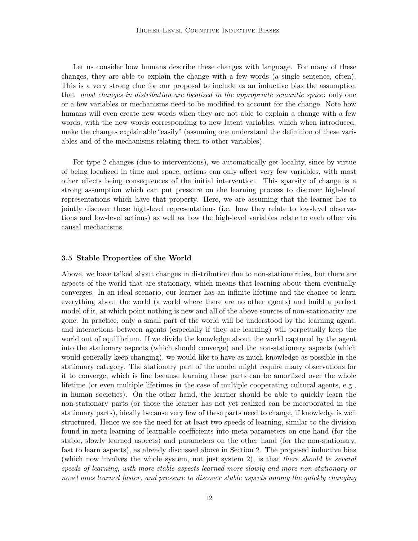Let us consider how humans describe these changes with language. For many of these changes, they are able to explain the change with a few words (a single sentence, often). This is a very strong clue for our proposal to include as an inductive bias the assumption that most changes in distribution are localized in the appropriate semantic space: only one or a few variables or mechanisms need to be modified to account for the change. Note how humans will even create new words when they are not able to explain a change with a few words, with the new words corresponding to new latent variables, which when introduced, make the changes explainable "easily" (assuming one understand the definition of these variables and of the mechanisms relating them to other variables).

For type-2 changes (due to interventions), we automatically get locality, since by virtue of being localized in time and space, actions can only affect very few variables, with most other effects being consequences of the initial intervention. This sparsity of change is a strong assumption which can put pressure on the learning process to discover high-level representations which have that property. Here, we are assuming that the learner has to jointly discover these high-level representations (i.e. how they relate to low-level observations and low-level actions) as well as how the high-level variables relate to each other via causal mechanisms.

## <span id="page-11-0"></span>3.5 Stable Properties of the World

Above, we have talked about changes in distribution due to non-stationarities, but there are aspects of the world that are stationary, which means that learning about them eventually converges. In an ideal scenario, our learner has an infinite lifetime and the chance to learn everything about the world (a world where there are no other agents) and build a perfect model of it, at which point nothing is new and all of the above sources of non-stationarity are gone. In practice, only a small part of the world will be understood by the learning agent, and interactions between agents (especially if they are learning) will perpetually keep the world out of equilibrium. If we divide the knowledge about the world captured by the agent into the stationary aspects (which should converge) and the non-stationary aspects (which would generally keep changing), we would like to have as much knowledge as possible in the stationary category. The stationary part of the model might require many observations for it to converge, which is fine because learning these parts can be amortized over the whole lifetime (or even multiple lifetimes in the case of multiple cooperating cultural agents, e.g., in human societies). On the other hand, the learner should be able to quickly learn the non-stationary parts (or those the learner has not yet realized can be incorporated in the stationary parts), ideally because very few of these parts need to change, if knowledge is well structured. Hence we see the need for at least two speeds of learning, similar to the division found in meta-learning of learnable coefficients into meta-parameters on one hand (for the stable, slowly learned aspects) and parameters on the other hand (for the non-stationary, fast to learn aspects), as already discussed above in Section [2.](#page-2-0) The proposed inductive bias (which now involves the whole system, not just system 2), is that there should be several speeds of learning, with more stable aspects learned more slowly and more non-stationary or novel ones learned faster, and pressure to discover stable aspects among the quickly changing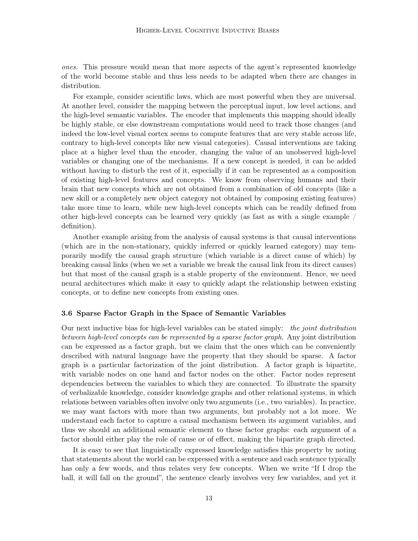ones. This pressure would mean that more aspects of the agent's represented knowledge of the world become stable and thus less needs to be adapted when there are changes in distribution.

For example, consider scientific laws, which are most powerful when they are universal. At another level, consider the mapping between the perceptual input, low level actions, and the high-level semantic variables. The encoder that implements this mapping should ideally be highly stable, or else downstream computations would need to track those changes (and indeed the low-level visual cortex seems to compute features that are very stable across life, contrary to high-level concepts like new visual categories). Causal interventions are taking place at a higher level than the encoder, changing the value of an unobserved high-level variables or changing one of the mechanisms. If a new concept is needed, it can be added without having to disturb the rest of it, especially if it can be represented as a composition of existing high-level features and concepts. We know from observing humans and their brain that new concepts which are not obtained from a combination of old concepts (like a new skill or a completely new object category not obtained by composing existing features) take more time to learn, while new high-level concepts which can be readily defined from other high-level concepts can be learned very quickly (as fast as with a single example / definition).

Another example arising from the analysis of causal systems is that causal interventions (which are in the non-stationary, quickly inferred or quickly learned category) may temporarily modify the causal graph structure (which variable is a direct cause of which) by breaking causal links (when we set a variable we break the causal link from its direct causes) but that most of the causal graph is a stable property of the environment. Hence, we need neural architectures which make it easy to quickly adapt the relationship between existing concepts, or to define new concepts from existing ones.

#### <span id="page-12-0"></span>3.6 Sparse Factor Graph in the Space of Semantic Variables

Our next inductive bias for high-level variables can be stated simply: the joint distribution between high-level concepts can be represented by a sparse factor graph. Any joint distribution can be expressed as a factor graph, but we claim that the ones which can be conveniently described with natural language have the property that they should be sparse. A factor graph is a particular factorization of the joint distribution. A factor graph is bipartite, with variable nodes on one hand and factor nodes on the other. Factor nodes represent dependencies between the variables to which they are connected. To illustrate the sparsity of verbalizable knowledge, consider knowledge graphs and other relational systems, in which relations between variables often involve only two arguments (i.e., two variables). In practice, we may want factors with more than two arguments, but probably not a lot more. We understand each factor to capture a causal mechanism between its argument variables, and thus we should an additional semantic element to these factor graphs: each argument of a factor should either play the role of cause or of effect, making the bipartite graph directed.

It is easy to see that linguistically expressed knowledge satisfies this property by noting that statements about the world can be expressed with a sentence and each sentence typically has only a few words, and thus relates very few concepts. When we write "If I drop the ball, it will fall on the ground", the sentence clearly involves very few variables, and yet it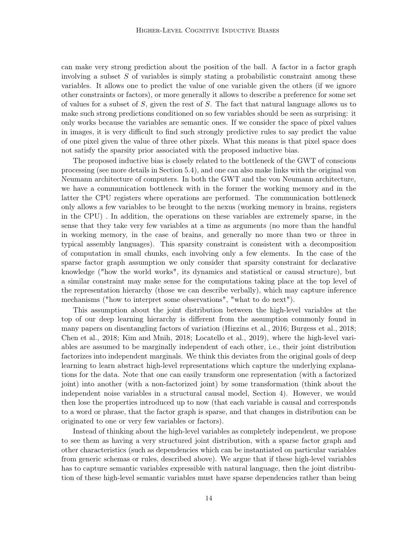can make very strong prediction about the position of the ball. A factor in a factor graph involving a subset  $S$  of variables is simply stating a probabilistic constraint among these variables. It allows one to predict the value of one variable given the others (if we ignore other constraints or factors), or more generally it allows to describe a preference for some set of values for a subset of  $S$ , given the rest of  $S$ . The fact that natural language allows us to make such strong predictions conditioned on so few variables should be seen as surprising: it only works because the variables are semantic ones. If we consider the space of pixel values in images, it is very difficult to find such strongly predictive rules to say predict the value of one pixel given the value of three other pixels. What this means is that pixel space does not satisfy the sparsity prior associated with the proposed inductive bias.

The proposed inductive bias is closely related to the bottleneck of the GWT of conscious processing (see more details in Section [5.4\)](#page-25-0), and one can also make links with the original von Neumann architecture of computers. In both the GWT and the von Neumann architecture, we have a communication bottleneck with in the former the working memory and in the latter the CPU registers where operations are performed. The communication bottleneck only allows a few variables to be brought to the nexus (working memory in brains, registers in the CPU) . In addition, the operations on these variables are extremely sparse, in the sense that they take very few variables at a time as arguments (no more than the handful in working memory, in the case of brains, and generally no more than two or three in typical assembly languages). This sparsity constraint is consistent with a decomposition of computation in small chunks, each involving only a few elements. In the case of the sparse factor graph assumption we only consider that sparsity constraint for declarative knowledge ("how the world works", its dynamics and statistical or causal structure), but a similar constraint may make sense for the computations taking place at the top level of the representation hierarchy (those we can describe verbally), which may capture inference mechanisms ("how to interpret some observations", "what to do next").

This assumption about the joint distribution between the high-level variables at the top of our deep learning hierarchy is different from the assumption commonly found in many papers on disentangling factors of variation [\(Higgins](#page-37-6) et al., [2016](#page-37-6); [Burgess et al.](#page-35-12), [2018;](#page-35-12) [Chen et al.](#page-35-13), [2018;](#page-35-13) [Kim and Mnih](#page-38-11), [2018;](#page-38-11) [Locatello et al.](#page-38-12), [2019\)](#page-38-12), where the high-level variables are assumed to be marginally independent of each other, i.e., their joint distribution factorizes into independent marginals. We think this deviates from the original goals of deep learning to learn abstract high-level representations which capture the underlying explanations for the data. Note that one can easily transform one representation (with a factorized joint) into another (with a non-factorized joint) by some transformation (think about the independent noise variables in a structural causal model, Section [4\)](#page-18-1). However, we would then lose the properties introduced up to now (that each variable is causal and corresponds to a word or phrase, that the factor graph is sparse, and that changes in distribution can be originated to one or very few variables or factors).

Instead of thinking about the high-level variables as completely independent, we propose to see them as having a very structured joint distribution, with a sparse factor graph and other characteristics (such as dependencies which can be instantiated on particular variables from generic schemas or rules, described above). We argue that if these high-level variables has to capture semantic variables expressible with natural language, then the joint distribution of these high-level semantic variables must have sparse dependencies rather than being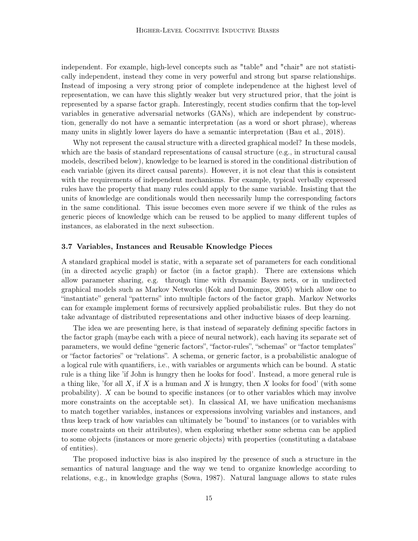independent. For example, high-level concepts such as "table" and "chair" are not statistically independent, instead they come in very powerful and strong but sparse relationships. Instead of imposing a very strong prior of complete independence at the highest level of representation, we can have this slightly weaker but very structured prior, that the joint is represented by a sparse factor graph. Interestingly, recent studies confirm that the top-level variables in generative adversarial networks (GANs), which are independent by construction, generally do not have a semantic interpretation (as a word or short phrase), whereas many units in slightly lower layers do have a semantic interpretation [\(Bau et al.](#page-34-10), [2018\)](#page-34-10).

Why not represent the causal structure with a directed graphical model? In these models, which are the basis of standard representations of causal structure (e.g., in structural causal models, described below), knowledge to be learned is stored in the conditional distribution of each variable (given its direct causal parents). However, it is not clear that this is consistent with the requirements of independent mechanisms. For example, typical verbally expressed rules have the property that many rules could apply to the same variable. Insisting that the units of knowledge are conditionals would then necessarily lump the corresponding factors in the same conditional. This issue becomes even more severe if we think of the rules as generic pieces of knowledge which can be reused to be applied to many different tuples of instances, as elaborated in the next subsection.

#### <span id="page-14-0"></span>3.7 Variables, Instances and Reusable Knowledge Pieces

A standard graphical model is static, with a separate set of parameters for each conditional (in a directed acyclic graph) or factor (in a factor graph). There are extensions which allow parameter sharing, e.g. through time with dynamic Bayes nets, or in undirected graphical models such as Markov Networks [\(Kok and Domingos,](#page-38-13) [2005](#page-38-13)) which allow one to "instantiate" general "patterns" into multiple factors of the factor graph. Markov Networks can for example implement forms of recursively applied probabilistic rules. But they do not take advantage of distributed representations and other inductive biases of deep learning.

The idea we are presenting here, is that instead of separately defining specific factors in the factor graph (maybe each with a piece of neural network), each having its separate set of parameters, we would define "generic factors", "factor-rules", "schemas" or "factor templates" or "factor factories" or "relations". A schema, or generic factor, is a probabilistic analogue of a logical rule with quantifiers, i.e., with variables or arguments which can be bound. A static rule is a thing like 'if John is hungry then he looks for food'. Instead, a more general rule is a thing like, 'for all X, if X is a human and X is hungry, then X looks for food' (with some probability). X can be bound to specific instances (or to other variables which may involve more constraints on the acceptable set). In classical AI, we have unification mechanisms to match together variables, instances or expressions involving variables and instances, and thus keep track of how variables can ultimately be 'bound' to instances (or to variables with more constraints on their attributes), when exploring whether some schema can be applied to some objects (instances or more generic objects) with properties (constituting a database of entities).

The proposed inductive bias is also inspired by the presence of such a structure in the semantics of natural language and the way we tend to organize knowledge according to relations, e.g., in knowledge graphs [\(Sowa](#page-40-10), [1987\)](#page-40-10). Natural language allows to state rules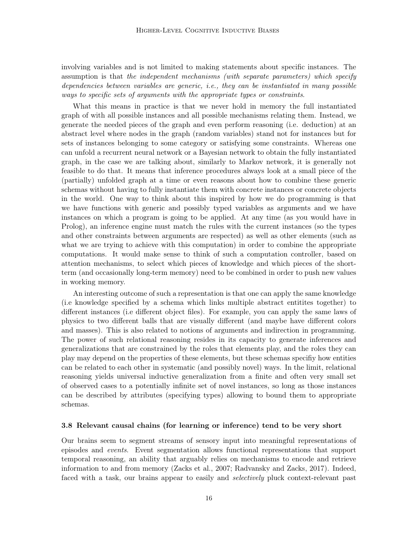involving variables and is not limited to making statements about specific instances. The assumption is that the independent mechanisms (with separate parameters) which specify dependencies between variables are generic, i.e., they can be instantiated in many possible ways to specific sets of arguments with the appropriate types or constraints.

What this means in practice is that we never hold in memory the full instantiated graph of with all possible instances and all possible mechanisms relating them. Instead, we generate the needed pieces of the graph and even perform reasoning (i.e. deduction) at an abstract level where nodes in the graph (random variables) stand not for instances but for sets of instances belonging to some category or satisfying some constraints. Whereas one can unfold a recurrent neural network or a Bayesian network to obtain the fully instantiated graph, in the case we are talking about, similarly to Markov network, it is generally not feasible to do that. It means that inference procedures always look at a small piece of the (partially) unfolded graph at a time or even reasons about how to combine these generic schemas without having to fully instantiate them with concrete instances or concrete objects in the world. One way to think about this inspired by how we do programming is that we have functions with generic and possibly typed variables as arguments and we have instances on which a program is going to be applied. At any time (as you would have in Prolog), an inference engine must match the rules with the current instances (so the types and other constraints between arguments are respected) as well as other elements (such as what we are trying to achieve with this computation) in order to combine the appropriate computations. It would make sense to think of such a computation controller, based on attention mechanisms, to select which pieces of knowledge and which pieces of the shortterm (and occasionally long-term memory) need to be combined in order to push new values in working memory.

An interesting outcome of such a representation is that one can apply the same knowledge (i.e knowledge specified by a schema which links multiple abstract entitites together) to different instances (i.e different object files). For example, you can apply the same laws of physics to two different balls that are visually different (and maybe have different colors and masses). This is also related to notions of arguments and indirection in programming. The power of such relational reasoning resides in its capacity to generate inferences and generalizations that are constrained by the roles that elements play, and the roles they can play may depend on the properties of these elements, but these schemas specifiy how entities can be related to each other in systematic (and possibly novel) ways. In the limit, relational reasoning yields universal inductive generalization from a finite and often very small set of observed cases to a potentially infinite set of novel instances, so long as those instances can be described by attributes (specifying types) allowing to bound them to appropriate schemas.

### <span id="page-15-0"></span>3.8 Relevant causal chains (for learning or inference) tend to be very short

Our brains seem to segment streams of sensory input into meaningful representations of episodes and events. Event segmentation allows functional representations that support temporal reasoning, an ability that arguably relies on mechanisms to encode and retrieve information to and from memory [\(Zacks et al., 2007](#page-41-8); [Radvansky and Zacks, 2017](#page-39-9)). Indeed, faced with a task, our brains appear to easily and *selectively* pluck context-relevant past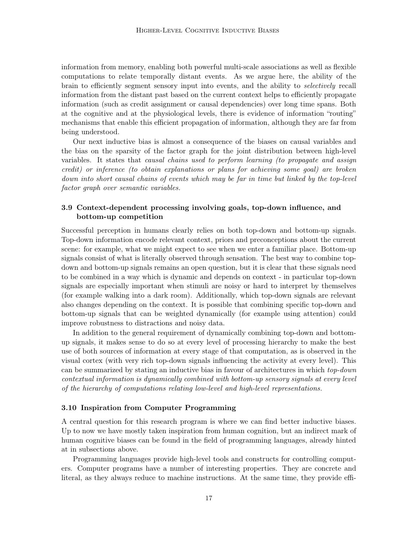information from memory, enabling both powerful multi-scale associations as well as flexible computations to relate temporally distant events. As we argue here, the ability of the brain to efficiently segment sensory input into events, and the ability to selectively recall information from the distant past based on the current context helps to efficiently propagate information (such as credit assignment or causal dependencies) over long time spans. Both at the cognitive and at the physiological levels, there is evidence of information "routing" mechanisms that enable this efficient propagation of information, although they are far from being understood.

Our next inductive bias is almost a consequence of the biases on causal variables and the bias on the sparsity of the factor graph for the joint distribution between high-level variables. It states that causal chains used to perform learning (to propagate and assign credit) or inference (to obtain explanations or plans for achieving some goal) are broken down into short causal chains of events which may be far in time but linked by the top-level factor graph over semantic variables.

## <span id="page-16-0"></span>3.9 Context-dependent processing involving goals, top-down influence, and bottom-up competition

Successful perception in humans clearly relies on both top-down and bottom-up signals. Top-down information encode relevant context, priors and preconceptions about the current scene: for example, what we might expect to see when we enter a familiar place. Bottom-up signals consist of what is literally observed through sensation. The best way to combine topdown and bottom-up signals remains an open question, but it is clear that these signals need to be combined in a way which is dynamic and depends on context - in particular top-down signals are especially important when stimuli are noisy or hard to interpret by themselves (for example walking into a dark room). Additionally, which top-down signals are relevant also changes depending on the context. It is possible that combining specific top-down and bottom-up signals that can be weighted dynamically (for example using attention) could improve robustness to distractions and noisy data.

In addition to the general requirement of dynamically combining top-down and bottomup signals, it makes sense to do so at every level of processing hierarchy to make the best use of both sources of information at every stage of that computation, as is observed in the visual cortex (with very rich top-down signals influencing the activity at every level). This can be summarized by stating an inductive bias in favour of architectures in which top-down contextual information is dynamically combined with bottom-up sensory signals at every level of the hierarchy of computations relating low-level and high-level representations.

### 3.10 Inspiration from Computer Programming

A central question for this research program is where we can find better inductive biases. Up to now we have mostly taken inspiration from human cognition, but an indirect mark of human cognitive biases can be found in the field of programming languages, already hinted at in subsections above.

Programming languages provide high-level tools and constructs for controlling computers. Computer programs have a number of interesting properties. They are concrete and literal, as they always reduce to machine instructions. At the same time, they provide effi-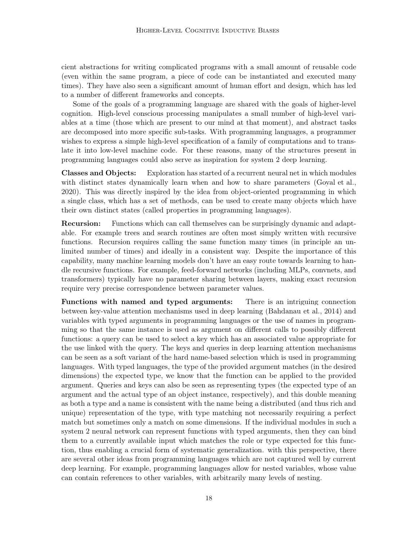cient abstractions for writing complicated programs with a small amount of reusable code (even within the same program, a piece of code can be instantiated and executed many times). They have also seen a significant amount of human effort and design, which has led to a number of different frameworks and concepts.

Some of the goals of a programming language are shared with the goals of higher-level cognition. High-level conscious processing manipulates a small number of high-level variables at a time (those which are present to our mind at that moment), and abstract tasks are decomposed into more specific sub-tasks. With programming languages, a programmer wishes to express a simple high-level specification of a family of computations and to translate it into low-level machine code. For these reasons, many of the structures present in programming languages could also serve as inspiration for system 2 deep learning.

Classes and Objects: Exploration has started of a recurrent neural net in which modules with distinct states dynamically learn when and how to share parameters [\(Goyal et al.,](#page-36-7) [2020\)](#page-36-7). This was directly inspired by the idea from object-oriented programming in which a single class, which has a set of methods, can be used to create many objects which have their own distinct states (called properties in programming languages).

Recursion: Functions which can call themselves can be surprisingly dynamic and adaptable. For example trees and search routines are often most simply written with recursive functions. Recursion requires calling the same function many times (in principle an unlimited number of times) and ideally in a consistent way. Despite the importance of this capability, many machine learning models don't have an easy route towards learning to handle recursive functions. For example, feed-forward networks (including MLPs, convnets, and transformers) typically have no parameter sharing between layers, making exact recursion require very precise correspondence between parameter values.

Functions with named and typed arguments: There is an intriguing connection between key-value attention mechanisms used in deep learning [\(Bahdanau et al., 2014\)](#page-34-11) and variables with typed arguments in programming languages or the use of names in programming so that the same instance is used as argument on different calls to possibly different functions: a query can be used to select a key which has an associated value appropriate for the use linked with the query. The keys and queries in deep learning attention mechanisms can be seen as a soft variant of the hard name-based selection which is used in programming languages. With typed languages, the type of the provided argument matches (in the desired dimensions) the expected type, we know that the function can be applied to the provided argument. Queries and keys can also be seen as representing types (the expected type of an argument and the actual type of an object instance, respectively), and this double meaning as both a type and a name is consistent with the name being a distributed (and thus rich and unique) representation of the type, with type matching not necessarily requiring a perfect match but sometimes only a match on some dimensions. If the individual modules in such a system 2 neural network can represent functions with typed arguments, then they can bind them to a currently available input which matches the role or type expected for this function, thus enabling a crucial form of systematic generalization. with this perspective, there are several other ideas from programming languages which are not captured well by current deep learning. For example, programming languages allow for nested variables, whose value can contain references to other variables, with arbitrarily many levels of nesting.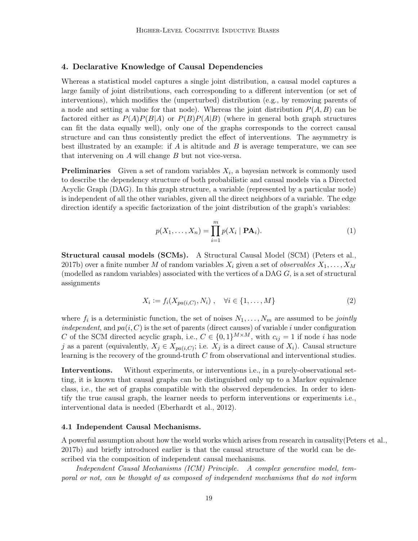## <span id="page-18-1"></span>4. Declarative Knowledge of Causal Dependencies

Whereas a statistical model captures a single joint distribution, a causal model captures a large family of joint distributions, each corresponding to a different intervention (or set of interventions), which modifies the (unperturbed) distribution (e.g., by removing parents of a node and setting a value for that node). Whereas the joint distribution  $P(A, B)$  can be factored either as  $P(A)P(B|A)$  or  $P(B)P(A|B)$  (where in general both graph structures can fit the data equally well), only one of the graphs corresponds to the correct causal structure and can thus consistently predict the effect of interventions. The asymmetry is best illustrated by an example: if A is altitude and B is average temperature, we can see that intervening on A will change B but not vice-versa.

**Preliminaries** Given a set of random variables  $X_i$ , a bayesian network is commonly used to describe the dependency structure of both probabilistic and causal models via a Directed Acyclic Graph (DAG). In this graph structure, a variable (represented by a particular node) is independent of all the other variables, given all the direct neighbors of a variable. The edge direction identify a specific factorization of the joint distribution of the graph's variables:

<span id="page-18-2"></span>
$$
p(X_1, \dots, X_n) = \prod_{i=1}^m p(X_i \mid \mathbf{PA}_i).
$$
 (1)

Structural causal models (SCMs). A Structural Causal Model (SCM) [\(Peters et al.,](#page-39-1) [2017b\)](#page-39-1) over a finite number M of random variables  $X_i$  given a set of *observables*  $X_1, \ldots, X_M$ (modelled as random variables) associated with the vertices of a DAG  $G$ , is a set of structural assignments

<span id="page-18-3"></span>
$$
X_i := f_i(X_{pa(i,C)}, N_i), \quad \forall i \in \{1, \dots, M\}
$$
\n
$$
(2)
$$

where  $f_i$  is a deterministic function, the set of noises  $N_1, \ldots, N_m$  are assumed to be jointly independent, and  $pa(i, C)$  is the set of parents (direct causes) of variable i under configuration C of the SCM directed acyclic graph, i.e.,  $C \in \{0,1\}^{M \times M}$ , with  $c_{ij} = 1$  if node *i* has node j as a parent (equivalently,  $X_j \in X_{pa(i,C)}$ ; i.e.  $X_j$  is a direct cause of  $X_i$ ). Causal structure learning is the recovery of the ground-truth  $C$  from observational and interventional studies.

Interventions. Without experiments, or interventions i.e., in a purely-observational setting, it is known that causal graphs can be distinguished only up to a Markov equivalence class, i.e., the set of graphs compatible with the observed dependencies. In order to identify the true causal graph, the learner needs to perform interventions or experiments i.e., interventional data is needed [\(Eberhardt et al., 2012](#page-36-8)).

#### <span id="page-18-0"></span>4.1 Independent Causal Mechanisms.

A powerful assumption about how the world works which arises from research in causality[\(Peters et al.](#page-39-1), [2017b\)](#page-39-1) and briefly introduced earlier is that the causal structure of the world can be described via the composition of independent causal mechanisms.

Independent Causal Mechanisms (ICM) Principle. A complex generative model, temporal or not, can be thought of as composed of independent mechanisms that do not inform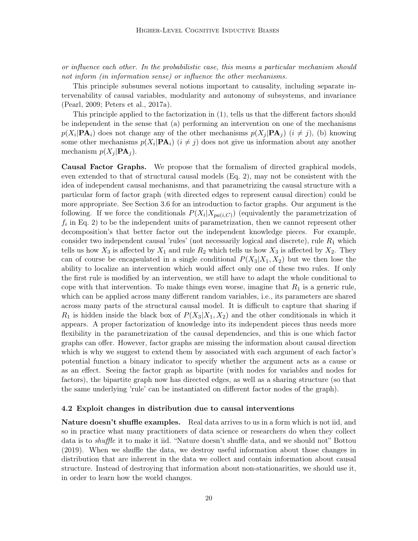or influence each other. In the probabilistic case, this means a particular mechanism should not inform (in information sense) or influence the other mechanisms.

This principle subsumes several notions important to causality, including separate intervenability of causal variables, modularity and autonomy of subsystems, and invariance [\(Pearl, 2009](#page-39-2); [Peters et al., 2017a\)](#page-39-10).

This principle applied to the factorization in [\(1\)](#page-18-2), tells us that the different factors should be independent in the sense that (a) performing an intervention on one of the mechanisms  $p(X_i | \mathbf{PA}_i)$  does not change any of the other mechanisms  $p(X_j | \mathbf{PA}_j)$   $(i \neq j)$ , (b) knowing some other mechanisms  $p(X_i|\mathbf{PA}_i)$   $(i \neq j)$  does not give us information about any another mechanism  $p(X_i | \mathbf{PA}_i)$ .

Causal Factor Graphs. We propose that the formalism of directed graphical models, even extended to that of structural causal models (Eq. [2\)](#page-18-3), may not be consistent with the idea of independent causal mechanisms, and that parametrizing the causal structure with a particular form of factor graph (with directed edges to represent causal direction) could be more appropriate. See Section [3.6](#page-12-0) for an introduction to factor graphs. Our argument is the following. If we force the conditionals  $P(X_i|X_{pa(i,C)})$  (equivalently the parametrization of  $f_i$  in Eq. [2\)](#page-18-3) to be the independent units of parametrization, then we cannot represent other decomposition's that better factor out the independent knowledge pieces. For example, consider two independent causal 'rules' (not necessarily logical and discrete), rule  $R_1$  which tells us how  $X_3$  is affected by  $X_1$  and rule  $R_2$  which tells us how  $X_3$  is affected by  $X_2$ . They can of course be encapsulated in a single conditional  $P(X_3|X_1, X_2)$  but we then lose the ability to localize an intervention which would affect only one of these two rules. If only the first rule is modified by an intervention, we still have to adapt the whole conditional to cope with that intervention. To make things even worse, imagine that  $R_1$  is a generic rule, which can be applied across many different random variables, i.e., its parameters are shared across many parts of the structural causal model. It is difficult to capture that sharing if  $R_1$  is hidden inside the black box of  $P(X_3|X_1, X_2)$  and the other conditionals in which it appears. A proper factorization of knowledge into its independent pieces thus needs more flexibility in the parametrization of the causal dependencies, and this is one which factor graphs can offer. However, factor graphs are missing the information about causal direction which is why we suggest to extend them by associated with each argument of each factor's potential function a binary indicator to specify whether the argument acts as a cause or as an effect. Seeing the factor graph as bipartite (with nodes for variables and nodes for factors), the bipartite graph now has directed edges, as well as a sharing structure (so that the same underlying 'rule' can be instantiated on different factor nodes of the graph).

#### 4.2 Exploit changes in distribution due to causal interventions

Nature doesn't shuffle examples. Real data arrives to us in a form which is not iid, and so in practice what many practitioners of data science or researchers do when they collect data is to shuffle it to make it iid. "Nature doesn't shuffle data, and we should not" [Bottou](#page-35-14) [\(2019\)](#page-35-14). When we shuffle the data, we destroy useful information about those changes in distribution that are inherent in the data we collect and contain information about causal structure. Instead of destroying that information about non-stationarities, we should use it, in order to learn how the world changes.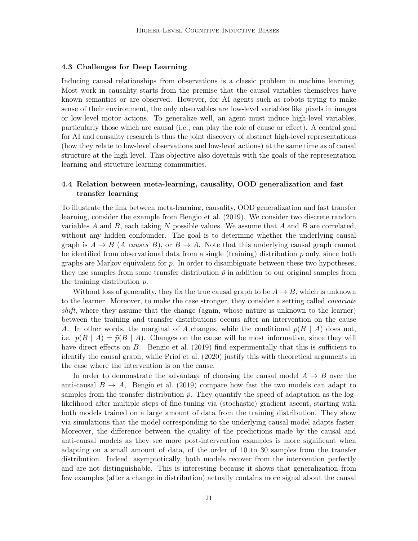#### 4.3 Challenges for Deep Learning

Inducing causal relationships from observations is a classic problem in machine learning. Most work in causality starts from the premise that the causal variables themselves have known semantics or are observed. However, for AI agents such as robots trying to make sense of their environment, the only observables are low-level variables like pixels in images or low-level motor actions. To generalize well, an agent must induce high-level variables, particularly those which are causal (i.e., can play the role of cause or effect). A central goal for AI and causality research is thus the joint discovery of abstract high-level representations (how they relate to low-level observations and low-level actions) at the same time as of causal structure at the high level. This objective also dovetails with the goals of the representation learning and structure learning communities.

## <span id="page-20-0"></span>4.4 Relation between meta-learning, causality, OOD generalization and fast transfer learning

To illustrate the link between meta-learning, causality, OOD generalization and fast transfer learning, consider the example from [Bengio et al. \(2019\)](#page-35-15). We consider two discrete random variables A and B, each taking N possible values. We assume that A and B are correlated, without any hidden confounder. The goal is to determine whether the underlying causal graph is  $A \to B$  (A causes B), or  $B \to A$ . Note that this underlying causal graph cannot be identified from observational data from a single (training) distribution p only, since both graphs are Markov equivalent for  $p$ . In order to disambiguate between these two hypotheses, they use samples from some transfer distribution  $\tilde{p}$  in addition to our original samples from the training distribution p.

Without loss of generality, they fix the true causal graph to be  $A \to B$ , which is unknown to the learner. Moreover, to make the case stronger, they consider a setting called *covariate* shift, where they assume that the change (again, whose nature is unknown to the learner) between the training and transfer distributions occurs after an intervention on the cause A. In other words, the marginal of A changes, while the conditional  $p(B \mid A)$  does not, i.e.  $p(B \mid A) = \tilde{p}(B \mid A)$ . Changes on the cause will be most informative, since they will have direct effects on B. [Bengio et al.](#page-35-15) [\(2019](#page-35-15)) find experimentally that this is sufficient to identify the causal graph, while [Priol et al.](#page-39-11) [\(2020](#page-39-11)) justify this with theoretical arguments in the case where the intervention is on the cause.

In order to demonstrate the advantage of choosing the causal model  $A \rightarrow B$  over the anti-causal  $B \to A$ , [Bengio et al. \(2019](#page-35-15)) compare how fast the two models can adapt to samples from the transfer distribution  $\tilde{p}$ . They quantify the speed of adaptation as the loglikelihood after multiple steps of fine-tuning via (stochastic) gradient ascent, starting with both models trained on a large amount of data from the training distribution. They show via simulations that the model corresponding to the underlying causal model adapts faster. Moreover, the difference between the quality of the predictions made by the causal and anti-causal models as they see more post-intervention examples is more significant when adapting on a small amount of data, of the order of 10 to 30 samples from the transfer distribution. Indeed, asymptotically, both models recover from the intervention perfectly and are not distinguishable. This is interesting because it shows that generalization from few examples (after a change in distribution) actually contains more signal about the causal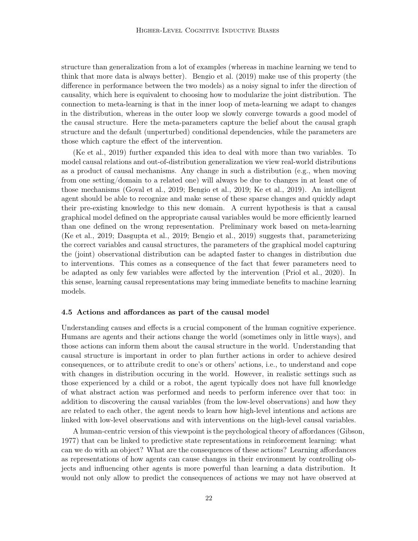structure than generalization from a lot of examples (whereas in machine learning we tend to think that more data is always better). [Bengio et al. \(2019](#page-35-15)) make use of this property (the difference in performance between the two models) as a noisy signal to infer the direction of causality, which here is equivalent to choosing how to modularize the joint distribution. The connection to meta-learning is that in the inner loop of meta-learning we adapt to changes in the distribution, whereas in the outer loop we slowly converge towards a good model of the causal structure. Here the meta-parameters capture the belief about the causal graph structure and the default (unperturbed) conditional dependencies, while the parameters are those which capture the effect of the intervention.

[\(Ke et al.](#page-37-7), [2019](#page-37-7)) further expanded this idea to deal with more than two variables. To model causal relations and out-of-distribution generalization we view real-world distributions as a product of causal mechanisms. Any change in such a distribution (e.g., when moving from one setting/domain to a related one) will always be due to changes in at least one of those mechanisms [\(Goyal et al.](#page-36-9), [2019](#page-36-9); [Bengio et al., 2019;](#page-35-15) [Ke et al.](#page-37-7), [2019](#page-37-7)). An intelligent agent should be able to recognize and make sense of these sparse changes and quickly adapt their pre-existing knowledge to this new domain. A current hypothesis is that a causal graphical model defined on the appropriate causal variables would be more efficiently learned than one defined on the wrong representation. Preliminary work based on meta-learning [\(Ke et al.](#page-37-7), [2019](#page-37-7); [Dasgupta et al.](#page-36-10), [2019](#page-36-10); [Bengio et al.](#page-35-15), [2019](#page-35-15)) suggests that, parameterizing the correct variables and causal structures, the parameters of the graphical model capturing the (joint) observational distribution can be adapted faster to changes in distribution due to interventions. This comes as a consequence of the fact that fewer parameters need to be adapted as only few variables were affected by the intervention [\(Priol et al.](#page-39-11), [2020](#page-39-11)). In this sense, learning causal representations may bring immediate benefits to machine learning models.

#### 4.5 Actions and affordances as part of the causal model

Understanding causes and effects is a crucial component of the human cognitive experience. Humans are agents and their actions change the world (sometimes only in little ways), and those actions can inform them about the causal structure in the world. Understanding that causal structure is important in order to plan further actions in order to achieve desired consequences, or to attribute credit to one's or others' actions, i.e., to understand and cope with changes in distribution occuring in the world. However, in realistic settings such as those experienced by a child or a robot, the agent typically does not have full knowledge of what abstract action was performed and needs to perform inference over that too: in addition to discovering the causal variables (from the low-level observations) and how they are related to each other, the agent needs to learn how high-level intentions and actions are linked with low-level observations and with interventions on the high-level causal variables.

A human-centric version of this viewpoint is the psychological theory of affordances [\(Gibson](#page-36-11), [1977\)](#page-36-11) that can be linked to predictive state representations in reinforcement learning: what can we do with an object? What are the consequences of these actions? Learning affordances as representations of how agents can cause changes in their environment by controlling objects and influencing other agents is more powerful than learning a data distribution. It would not only allow to predict the consequences of actions we may not have observed at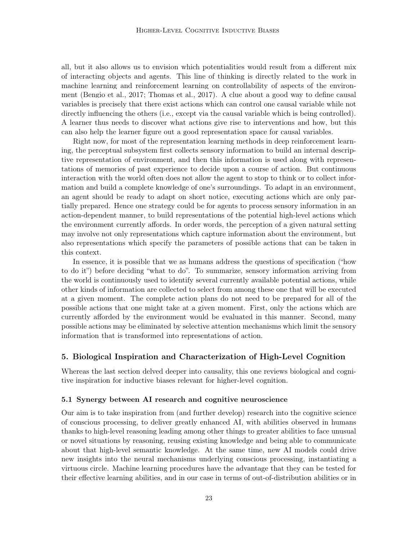all, but it also allows us to envision which potentialities would result from a different mix of interacting objects and agents. This line of thinking is directly related to the work in machine learning and reinforcement learning on controllability of aspects of the environment (Bengio et al., 2017; [Thomas et al.](#page-40-11), [2017\)](#page-40-11). A clue about a good way to define causal variables is precisely that there exist actions which can control one causal variable while not directly influencing the others (i.e., except via the causal variable which is being controlled). A learner thus needs to discover what actions give rise to interventions and how, but this can also help the learner figure out a good representation space for causal variables.

Right now, for most of the representation learning methods in deep reinforcement learning, the perceptual subsystem first collects sensory information to build an internal descriptive representation of environment, and then this information is used along with representations of memories of past experience to decide upon a course of action. But continuous interaction with the world often does not allow the agent to stop to think or to collect information and build a complete knowledge of one's surroundings. To adapt in an environment, an agent should be ready to adapt on short notice, executing actions which are only partially prepared. Hence one strategy could be for agents to process sensory information in an action-dependent manner, to build representations of the potential high-level actions which the environment currently affords. In order words, the perception of a given natural setting may involve not only representations which capture information about the environment, but also representations which specify the parameters of possible actions that can be taken in this context.

In essence, it is possible that we as humans address the questions of specification ("how to do it") before deciding "what to do". To summarize, sensory information arriving from the world is continuously used to identify several currently available potential actions, while other kinds of information are collected to select from among these one that will be executed at a given moment. The complete action plans do not need to be prepared for all of the possible actions that one might take at a given moment. First, only the actions which are currently afforded by the environment would be evaluated in this manner. Second, many possible actions may be eliminated by selective attention mechanisms which limit the sensory information that is transformed into representations of action.

### 5. Biological Inspiration and Characterization of High-Level Cognition

Whereas the last section delved deeper into causality, this one reviews biological and cognitive inspiration for inductive biases relevant for higher-level cognition.

#### 5.1 Synergy between AI research and cognitive neuroscience

Our aim is to take inspiration from (and further develop) research into the cognitive science of conscious processing, to deliver greatly enhanced AI, with abilities observed in humans thanks to high-level reasoning leading among other things to greater abilities to face unusual or novel situations by reasoning, reusing existing knowledge and being able to communicate about that high-level semantic knowledge. At the same time, new AI models could drive new insights into the neural mechanisms underlying conscious processing, instantiating a virtuous circle. Machine learning procedures have the advantage that they can be tested for their effective learning abilities, and in our case in terms of out-of-distribution abilities or in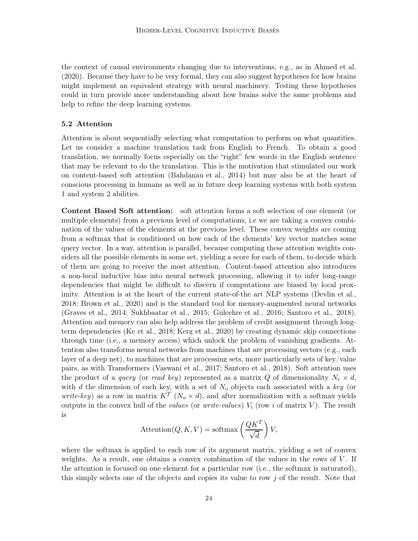the context of causal environments changing due to interventions, e.g., as in [Ahmed et al.](#page-34-5) [\(2020\)](#page-34-5). Because they have to be very formal, they can also suggest hypotheses for how brains might implement an equivalent strategy with neural machinery. Testing these hypotheses could in turn provide more understanding about how brains solve the same problems and help to refine the deep learning systems.

#### 5.2 Attention

Attention is about sequentially selecting what computation to perform on what quantities. Let us consider a machine translation task from English to French. To obtain a good translation, we normally focus especially on the "right" few words in the English sentence that may be relevant to do the translation. This is the motivation that stimulated our work on content-based soft attention [\(Bahdanau et al.](#page-34-11), [2014\)](#page-34-11) but may also be at the heart of conscious processing in humans as well as in future deep learning systems with both system 1 and system 2 abilities.

Content Based Soft attention: soft attention forms a soft selection of one element (or multiple elements) from a previous level of computations, i.e we are taking a convex combination of the values of the elements at the previous level. These convex weights are coming from a softmax that is conditioned on how each of the elements' key vector matches some query vector. In a way, attention is parallel, because computing these attention weights considers all the possible elements in some set, yielding a score for each of them, to decide which of them are going to receive the most attention. Content-based attention also introduces a non-local inductive bias into neural network processing, allowing it to infer long-range dependencies that might be difficult to discern if computations are biased by local proximity. Attention is at the heart of the current state-of-the art NLP systems (Devlin et al., 2018; [Brown et al.](#page-35-0), [2020\)](#page-35-0) and is the standard tool for memory-augmented neural networks [\(Graves et al.](#page-36-12), [2014](#page-36-12); [Sukhbaatar et al.](#page-40-12), [2015](#page-40-12); [Gulcehre et al.](#page-37-8), [2016](#page-37-8); [Santoro et al., 2018\)](#page-40-13). Attention and memory can also help address the problem of credit assignment through longterm dependencies [\(Ke et al., 2018;](#page-37-9) [Kerg et al.](#page-37-10), [2020](#page-37-10)) by creating dynamic skip connections through time (i.e., a memory access) which unlock the problem of vanishing gradients. Attention also transforms neural networks from machines that are processing vectors (e.g., each layer of a deep net), to machines that are processing sets, more particularly sets of key/value pairs, as with Transformers [\(Vaswani et al.](#page-41-5), [2017](#page-41-5); [Santoro et al.](#page-40-13), [2018](#page-40-13)). Soft attention uses the product of a *query* (or *read key*) represented as a matrix Q of dimensionality  $N_r \times d$ , with d the dimension of each key, with a set of  $N<sub>o</sub>$  objects each associated with a key (or *write-key*) as a row in matrix  $K^T$  ( $N_o \times d$ ), and after normalization with a softmax yields outputs in the convex hull of the values (or write-values)  $V_i$  (row i of matrix V). The result is

$$
Attention(Q, K, V) = softmax\left(\frac{QK^{T}}{\sqrt{d}}\right)V,
$$

where the softmax is applied to each row of its argument matrix, yielding a set of convex weights. As a result, one obtains a convex combination of the values in the rows of  $V$ . If the attention is focused on one element for a particular row (i.e., the softmax is saturated), this simply selects one of the objects and copies its value to row  $j$  of the result. Note that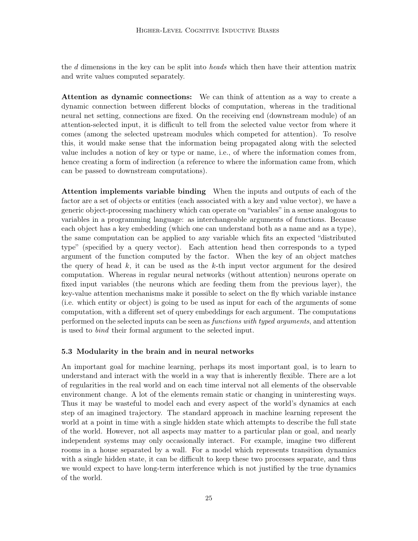the d dimensions in the key can be split into heads which then have their attention matrix and write values computed separately.

Attention as dynamic connections: We can think of attention as a way to create a dynamic connection between different blocks of computation, whereas in the traditional neural net setting, connections are fixed. On the receiving end (downstream module) of an attention-selected input, it is difficult to tell from the selected value vector from where it comes (among the selected upstream modules which competed for attention). To resolve this, it would make sense that the information being propagated along with the selected value includes a notion of key or type or name, i.e., of where the information comes from, hence creating a form of indirection (a reference to where the information came from, which can be passed to downstream computations).

Attention implements variable binding When the inputs and outputs of each of the factor are a set of objects or entities (each associated with a key and value vector), we have a generic object-processing machinery which can operate on "variables" in a sense analogous to variables in a programming language: as interchangeable arguments of functions. Because each object has a key embedding (which one can understand both as a name and as a type), the same computation can be applied to any variable which fits an expected "distributed type" (specified by a query vector). Each attention head then corresponds to a typed argument of the function computed by the factor. When the key of an object matches the query of head  $k$ , it can be used as the  $k$ -th input vector argument for the desired computation. Whereas in regular neural networks (without attention) neurons operate on fixed input variables (the neurons which are feeding them from the previous layer), the key-value attention mechanisms make it possible to select on the fly which variable instance (i.e. which entity or object) is going to be used as input for each of the arguments of some computation, with a different set of query embeddings for each argument. The computations performed on the selected inputs can be seen as *functions with typed arguments*, and attention is used to bind their formal argument to the selected input.

### 5.3 Modularity in the brain and in neural networks

An important goal for machine learning, perhaps its most important goal, is to learn to understand and interact with the world in a way that is inherently flexible. There are a lot of regularities in the real world and on each time interval not all elements of the observable environment change. A lot of the elements remain static or changing in uninteresting ways. Thus it may be wasteful to model each and every aspect of the world's dynamics at each step of an imagined trajectory. The standard approach in machine learning represent the world at a point in time with a single hidden state which attempts to describe the full state of the world. However, not all aspects may matter to a particular plan or goal, and nearly independent systems may only occasionally interact. For example, imagine two different rooms in a house separated by a wall. For a model which represents transition dynamics with a single hidden state, it can be difficult to keep these two processes separate, and thus we would expect to have long-term interference which is not justified by the true dynamics of the world.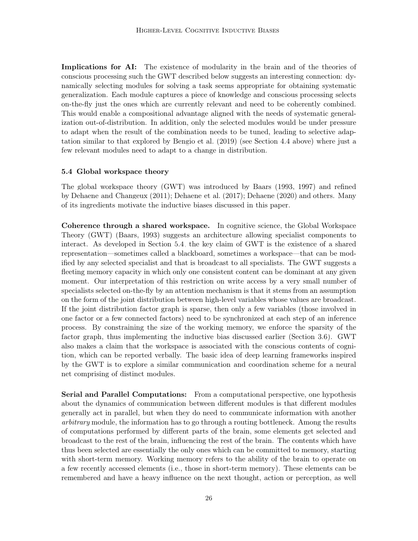Implications for AI: The existence of modularity in the brain and of the theories of conscious processing such the GWT described below suggests an interesting connection: dynamically selecting modules for solving a task seems appropriate for obtaining systematic generalization. Each module captures a piece of knowledge and conscious processing selects on-the-fly just the ones which are currently relevant and need to be coherently combined. This would enable a compositional advantage aligned with the needs of systematic generalization out-of-distribution. In addition, only the selected modules would be under pressure to adapt when the result of the combination needs to be tuned, leading to selective adaptation similar to that explored by [Bengio et al.](#page-35-15) [\(2019](#page-35-15)) (see Section [4.4](#page-20-0) above) where just a few relevant modules need to adapt to a change in distribution.

### <span id="page-25-0"></span>5.4 Global workspace theory

The global workspace theory (GWT) was introduced by [Baars \(1993,](#page-34-8) [1997](#page-34-9)) and refined by [Dehaene and Changeux](#page-36-13) [\(2011](#page-36-13)); [Dehaene et al. \(2017](#page-36-5)); [Dehaene \(2020](#page-36-6)) and others. Many of its ingredients motivate the inductive biases discussed in this paper.

Coherence through a shared workspace. In cognitive science, the Global Workspace Theory (GWT) [\(Baars, 1993](#page-34-8)) suggests an architecture allowing specialist components to interact. As developed in Section [5.4,](#page-25-0) the key claim of GWT is the existence of a shared representation—sometimes called a blackboard, sometimes a workspace—that can be modified by any selected specialist and that is broadcast to all specialists. The GWT suggests a fleeting memory capacity in which only one consistent content can be dominant at any given moment. Our interpretation of this restriction on write access by a very small number of specialists selected on-the-fly by an attention mechanism is that it stems from an assumption on the form of the joint distribution between high-level variables whose values are broadcast. If the joint distribution factor graph is sparse, then only a few variables (those involved in one factor or a few connected factors) need to be synchronized at each step of an inference process. By constraining the size of the working memory, we enforce the sparsity of the factor graph, thus implementing the inductive bias discussed earlier (Section [3.6\)](#page-12-0). GWT also makes a claim that the workspace is associated with the conscious contents of cognition, which can be reported verbally. The basic idea of deep learning frameworks inspired by the GWT is to explore a similar communication and coordination scheme for a neural net comprising of distinct modules.

Serial and Parallel Computations: From a computational perspective, one hypothesis about the dynamics of communication between different modules is that different modules generally act in parallel, but when they do need to communicate information with another arbitrary module, the information has to go through a routing bottleneck. Among the results of computations performed by different parts of the brain, some elements get selected and broadcast to the rest of the brain, influencing the rest of the brain. The contents which have thus been selected are essentially the only ones which can be committed to memory, starting with short-term memory. Working memory refers to the ability of the brain to operate on a few recently accessed elements (i.e., those in short-term memory). These elements can be remembered and have a heavy influence on the next thought, action or perception, as well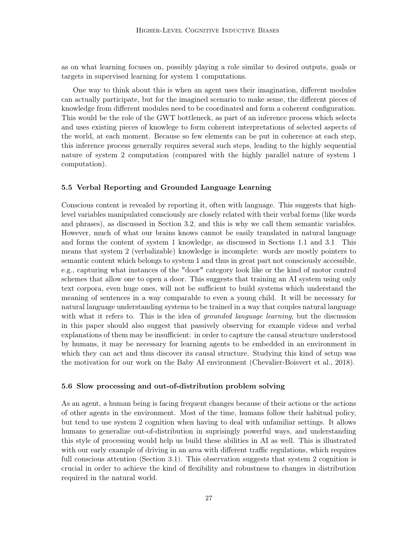as on what learning focuses on, possibly playing a role similar to desired outputs, goals or targets in supervised learning for system 1 computations.

One way to think about this is when an agent uses their imagination, different modules can actually participate, but for the imagined scenario to make sense, the different pieces of knowledge from different modules need to be coordinated and form a coherent configuration. This would be the role of the GWT bottleneck, as part of an inference process which selects and uses existing pieces of knowlege to form coherent interpretations of selected aspects of the world, at each moment. Because so few elements can be put in coherence at each step, this inference process generally requires several such steps, leading to the highly sequential nature of system 2 computation (compared with the highly parallel nature of system 1 computation).

## 5.5 Verbal Reporting and Grounded Language Learning

Conscious content is revealed by reporting it, often with language. This suggests that highlevel variables manipulated consciously are closely related with their verbal forms (like words and phrases), as discussed in Section [3.2,](#page-8-0) and this is why we call them semantic variables. However, much of what our brains knows cannot be easily translated in natural language and forms the content of system 1 knowledge, as discussed in Sections [1.1](#page-1-0) and [3.1.](#page-6-0) This means that system 2 (verbalizable) knowledge is incomplete: words are mostly pointers to semantic content which belongs to system 1 and thus in great part not consciously accessible, e.g., capturing what instances of the "door" category look like or the kind of motor control schemes that allow one to open a door. This suggests that training an AI system using only text corpora, even huge ones, will not be sufficient to build systems which understand the meaning of sentences in a way comparable to even a young child. It will be necessary for natural language understanding systems to be trained in a way that couples natural language with what it refers to. This is the idea of *grounded language learning*, but the discussion in this paper should also suggest that passively observing for example videos and verbal explanations of them may be insufficient: in order to capture the causal structure understood by humans, it may be necessary for learning agents to be embedded in an environment in which they can act and thus discover its causal structure. Studying this kind of setup was the motivation for our work on the Baby AI environment [\(Chevalier-Boisvert et al.](#page-35-5), [2018\)](#page-35-5).

#### 5.6 Slow processing and out-of-distribution problem solving

As an agent, a human being is facing frequent changes because of their actions or the actions of other agents in the environment. Most of the time, humans follow their habitual policy, but tend to use system 2 cognition when having to deal with unfamiliar settings. It allows humans to generalize out-of-distribution in suprisingly powerful ways, and understanding this style of processing would help us build these abilities in AI as well. This is illustrated with our early example of driving in an area with different traffic regulations, which requires full conscious attention (Section [3.1\)](#page-6-0). This observation suggests that system 2 cognition is crucial in order to achieve the kind of flexibility and robustness to changes in distribution required in the natural world.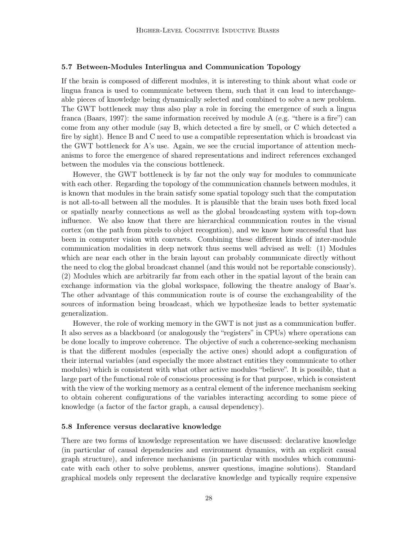### 5.7 Between-Modules Interlingua and Communication Topology

If the brain is composed of different modules, it is interesting to think about what code or lingua franca is used to communicate between them, such that it can lead to interchangeable pieces of knowledge being dynamically selected and combined to solve a new problem. The GWT bottleneck may thus also play a role in forcing the emergence of such a lingua franca [\(Baars, 1997\)](#page-34-9): the same information received by module A (e.g. "there is a fire") can come from any other module (say B, which detected a fire by smell, or C which detected a fire by sight). Hence B and C need to use a compatible representation which is broadcast via the GWT bottleneck for A's use. Again, we see the crucial importance of attention mechanisms to force the emergence of shared representations and indirect references exchanged between the modules via the conscious bottleneck.

However, the GWT bottleneck is by far not the only way for modules to communicate with each other. Regarding the topology of the communication channels between modules, it is known that modules in the brain satisfy some spatial topology such that the computation is not all-to-all between all the modules. It is plausible that the brain uses both fixed local or spatially nearby connections as well as the global broadcasting system with top-down influence. We also know that there are hierarchical communication routes in the visual cortex (on the path from pixels to object recogntion), and we know how successful that has been in computer vision with convnets. Combining these different kinds of inter-module communication modalities in deep network thus seems well advised as well: (1) Modules which are near each other in the brain layout can probably communicate directly without the need to clog the global broadcast channel (and this would not be reportable consciously). (2) Modules which are arbitrarily far from each other in the spatial layout of the brain can exchange information via the global workspace, following the theatre analogy of Baar's. The other advantage of this communication route is of course the exchangeability of the sources of information being broadcast, which we hypothesize leads to better systematic generalization.

However, the role of working memory in the GWT is not just as a communication buffer. It also serves as a blackboard (or analogously the "registers" in CPUs) where operations can be done locally to improve coherence. The objective of such a coherence-seeking mechanism is that the different modules (especially the active ones) should adopt a configuration of their internal variables (and especially the more abstract entities they communicate to other modules) which is consistent with what other active modules "believe". It is possible, that a large part of the functional role of conscious processing is for that purpose, which is consistent with the view of the working memory as a central element of the inference mechanism seeking to obtain coherent configurations of the variables interacting according to some piece of knowledge (a factor of the factor graph, a causal dependency).

#### <span id="page-27-0"></span>5.8 Inference versus declarative knowledge

There are two forms of knowledge representation we have discussed: declarative knowledge (in particular of causal dependencies and environment dynamics, with an explicit causal graph structure), and inference mechanisms (in particular with modules which communicate with each other to solve problems, answer questions, imagine solutions). Standard graphical models only represent the declarative knowledge and typically require expensive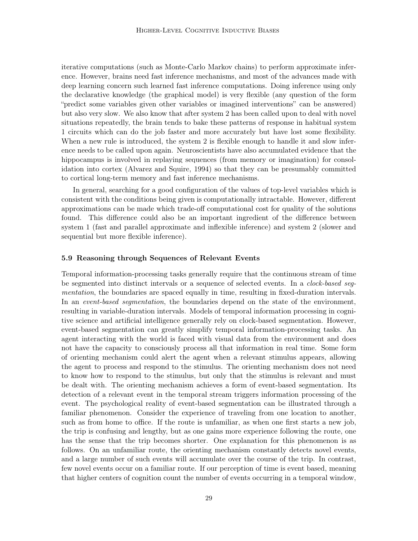iterative computations (such as Monte-Carlo Markov chains) to perform approximate inference. However, brains need fast inference mechanisms, and most of the advances made with deep learning concern such learned fast inference computations. Doing inference using only the declarative knowledge (the graphical model) is very flexible (any question of the form "predict some variables given other variables or imagined interventions" can be answered) but also very slow. We also know that after system 2 has been called upon to deal with novel situations repeatedly, the brain tends to bake these patterns of response in habitual system 1 circuits which can do the job faster and more accurately but have lost some flexibility. When a new rule is introduced, the system 2 is flexible enough to handle it and slow inference needs to be called upon again. Neuroscientists have also accumulated evidence that the hippocampus is involved in replaying sequences (from memory or imagination) for consolidation into cortex [\(Alvarez and Squire](#page-34-12), [1994](#page-34-12)) so that they can be presumably committed to cortical long-term memory and fast inference mechanisms.

In general, searching for a good configuration of the values of top-level variables which is consistent with the conditions being given is computationally intractable. However, different approximations can be made which trade-off computational cost for quality of the solutions found. This difference could also be an important ingredient of the difference between system 1 (fast and parallel approximate and inflexible inference) and system 2 (slower and sequential but more flexible inference).

### 5.9 Reasoning through Sequences of Relevant Events

Temporal information-processing tasks generally require that the continuous stream of time be segmented into distinct intervals or a sequence of selected events. In a *clock-based seg*mentation, the boundaries are spaced equally in time, resulting in fixed-duration intervals. In an *event-based segmentation*, the boundaries depend on the state of the environment, resulting in variable-duration intervals. Models of temporal information processing in cognitive science and artificial intelligence generally rely on clock-based segmentation. However, event-based segmentation can greatly simplify temporal information-processing tasks. An agent interacting with the world is faced with visual data from the environment and does not have the capacity to consciously process all that information in real time. Some form of orienting mechanism could alert the agent when a relevant stimulus appears, allowing the agent to process and respond to the stimulus. The orienting mechanism does not need to know how to respond to the stimulus, but only that the stimulus is relevant and must be dealt with. The orienting mechanism achieves a form of event-based segmentation. Its detection of a relevant event in the temporal stream triggers information processing of the event. The psychological reality of event-based segmentation can be illustrated through a familiar phenomenon. Consider the experience of traveling from one location to another, such as from home to office. If the route is unfamiliar, as when one first starts a new job, the trip is confusing and lengthy, but as one gains more experience following the route, one has the sense that the trip becomes shorter. One explanation for this phenomenon is as follows. On an unfamiliar route, the orienting mechanism constantly detects novel events, and a large number of such events will accumulate over the course of the trip. In contrast, few novel events occur on a familiar route. If our perception of time is event based, meaning that higher centers of cognition count the number of events occurring in a temporal window,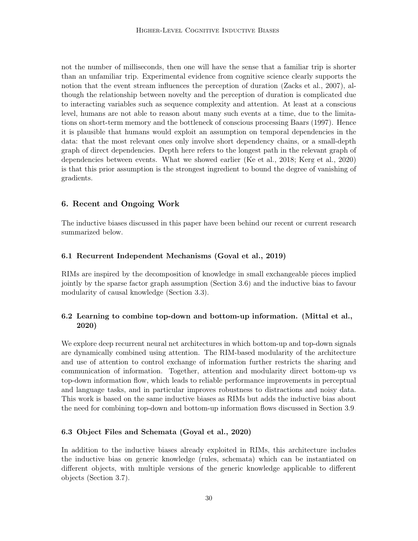not the number of milliseconds, then one will have the sense that a familiar trip is shorter than an unfamiliar trip. Experimental evidence from cognitive science clearly supports the notion that the event stream influences the perception of duration [\(Zacks et al.](#page-41-8), [2007\)](#page-41-8), although the relationship between novelty and the perception of duration is complicated due to interacting variables such as sequence complexity and attention. At least at a conscious level, humans are not able to reason about many such events at a time, due to the limitations on short-term memory and the bottleneck of conscious processing [Baars \(1997](#page-34-9)). Hence it is plausible that humans would exploit an assumption on temporal dependencies in the data: that the most relevant ones only involve short dependency chains, or a small-depth graph of direct dependencies. Depth here refers to the longest path in the relevant graph of dependencies between events. What we showed earlier [\(Ke et al.](#page-37-9), [2018](#page-37-9); [Kerg et al., 2020\)](#page-37-10) is that this prior assumption is the strongest ingredient to bound the degree of vanishing of gradients.

## 6. Recent and Ongoing Work

The inductive biases discussed in this paper have been behind our recent or current research summarized below.

### 6.1 Recurrent Independent Mechanisms [\(Goyal et al., 2019\)](#page-36-9)

RIMs are inspired by the decomposition of knowledge in small exchangeable pieces implied jointly by the sparse factor graph assumption (Section [3.6\)](#page-12-0) and the inductive bias to favour modularity of causal knowledge (Section [3.3\)](#page-9-0).

# 6.2 Learning to combine top-down and bottom-up information. [\(Mittal et al.](#page-39-12), [2020](#page-39-12))

We explore deep recurrent neural net architectures in which bottom-up and top-down signals are dynamically combined using attention. The RIM-based modularity of the architecture and use of attention to control exchange of information further restricts the sharing and communication of information. Together, attention and modularity direct bottom-up vs top-down information flow, which leads to reliable performance improvements in perceptual and language tasks, and in particular improves robustness to distractions and noisy data. This work is based on the same inductive biases as RIMs but adds the inductive bias about the need for combining top-down and bottom-up information flows discussed in Section [3.9.](#page-16-0)

## 6.3 Object Files and Schemata [\(Goyal et al.](#page-36-7), [2020\)](#page-36-7)

In addition to the inductive biases already exploited in RIMs, this architecture includes the inductive bias on generic knowledge (rules, schemata) which can be instantiated on different objects, with multiple versions of the generic knowledge applicable to different objects (Section [3.7\)](#page-14-0).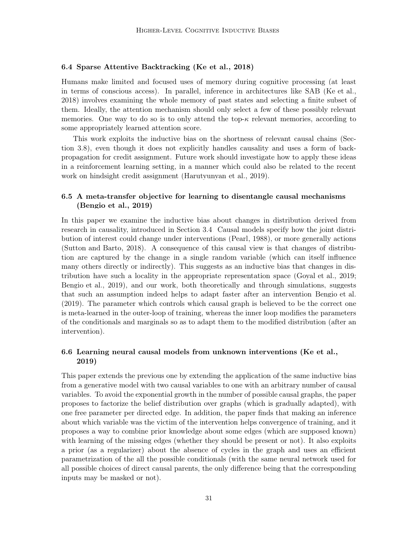## 6.4 Sparse Attentive Backtracking [\(Ke et al., 2018](#page-37-9))

Humans make limited and focused uses of memory during cognitive processing (at least in terms of conscious access). In parallel, inference in architectures like SAB [\(Ke et al.,](#page-37-9) [2018\)](#page-37-9) involves examining the whole memory of past states and selecting a finite subset of them. Ideally, the attention mechanism should only select a few of these possibly relevant memories. One way to do so is to only attend the top- $\kappa$  relevant memories, according to some appropriately learned attention score.

This work exploits the inductive bias on the shortness of relevant causal chains (Section [3.8\)](#page-15-0), even though it does not explicitly handles causality and uses a form of backpropagation for credit assignment. Future work should investigate how to apply these ideas in a reinforcement learning setting, in a manner which could also be related to the recent work on hindsight credit assignment [\(Harutyunyan et al., 2019\)](#page-37-11).

## 6.5 A meta-transfer objective for learning to disentangle causal mechanisms [\(Bengio et al.](#page-35-15), [2019\)](#page-35-15)

In this paper we examine the inductive bias about changes in distribution derived from research in causality, introduced in Section [3.4.](#page-10-0) Causal models specify how the joint distribution of interest could change under interventions [\(Pearl](#page-39-13), [1988\)](#page-39-13), or more generally actions [\(Sutton and Barto, 2018\)](#page-40-14). A consequence of this causal view is that changes of distribution are captured by the change in a single random variable (which can itself influence many others directly or indirectly). This suggests as an inductive bias that changes in distribution have such a locality in the appropriate representation space [\(Goyal et al., 2019;](#page-36-9) [Bengio et al.](#page-35-15), [2019\)](#page-35-15), and our work, both theoretically and through simulations, suggests that such an assumption indeed helps to adapt faster after an intervention [Bengio et al.](#page-35-15) [\(2019\)](#page-35-15). The parameter which controls which causal graph is believed to be the correct one is meta-learned in the outer-loop of training, whereas the inner loop modifies the parameters of the conditionals and marginals so as to adapt them to the modified distribution (after an intervention).

## 6.6 Learning neural causal models from unknown interventions [\(Ke et al.,](#page-37-7) [2019](#page-37-7))

This paper extends the previous one by extending the application of the same inductive bias from a generative model with two causal variables to one with an arbitrary number of causal variables. To avoid the exponential growth in the number of possible causal graphs, the paper proposes to factorize the belief distribution over graphs (which is gradually adapted), with one free parameter per directed edge. In addition, the paper finds that making an inference about which variable was the victim of the intervention helps convergence of training, and it proposes a way to combine prior knowledge about some edges (which are supposed known) with learning of the missing edges (whether they should be present or not). It also exploits a prior (as a regularizer) about the absence of cycles in the graph and uses an efficient parametrization of the all the possible conditionals (with the same neural network used for all possible choices of direct causal parents, the only difference being that the corresponding inputs may be masked or not).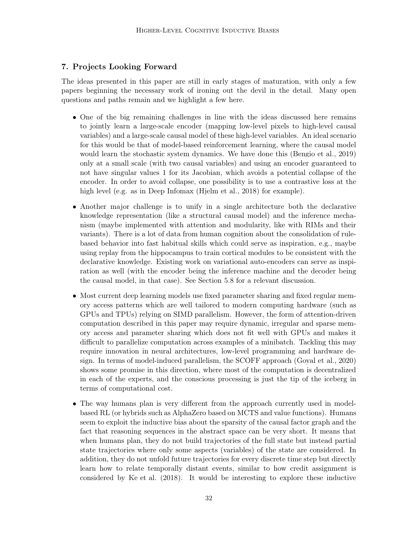# 7. Projects Looking Forward

The ideas presented in this paper are still in early stages of maturation, with only a few papers beginning the necessary work of ironing out the devil in the detail. Many open questions and paths remain and we highlight a few here.

- One of the big remaining challenges in line with the ideas discussed here remains to jointly learn a large-scale encoder (mapping low-level pixels to high-level causal variables) and a large-scale causal model of these high-level variables. An ideal scenario for this would be that of model-based reinforcement learning, where the causal model would learn the stochastic system dynamics. We have done this [\(Bengio et al.](#page-35-15), [2019\)](#page-35-15) only at a small scale (with two causal variables) and using an encoder guaranteed to not have singular values 1 for its Jacobian, which avoids a potential collapse of the encoder. In order to avoid collapse, one possibility is to use a contrastive loss at the high level (e.g. as in Deep Infomax [\(Hjelm et al., 2018](#page-37-12)) for example).
- Another major challenge is to unify in a single architecture both the declarative knowledge representation (like a structural causal model) and the inference mechanism (maybe implemented with attention and modularity, like with RIMs and their variants). There is a lot of data from human cognition about the consolidation of rulebased behavior into fast habitual skills which could serve as inspiration, e.g., maybe using replay from the hippocampus to train cortical modules to be consistent with the declarative knowledge. Existing work on variational auto-encoders can serve as inspiration as well (with the encoder being the inference machine and the decoder being the causal model, in that case). See Section [5.8](#page-27-0) for a relevant discussion.
- Most current deep learning models use fixed parameter sharing and fixed regular memory access patterns which are well tailored to modern computing hardware (such as GPUs and TPUs) relying on SIMD parallelism. However, the form of attention-driven computation described in this paper may require dynamic, irregular and sparse memory access and parameter sharing which does not fit well with GPUs and makes it difficult to parallelize computation across examples of a minibatch. Tackling this may require innovation in neural architectures, low-level programming and hardware design. In terms of model-induced parallelism, the SCOFF approach [\(Goyal et al.](#page-36-7), [2020\)](#page-36-7) shows some promise in this direction, where most of the computation is decentralized in each of the experts, and the conscious processing is just the tip of the iceberg in terms of computational cost.
- The way humans plan is very different from the approach currently used in modelbased RL (or hybrids such as AlphaZero based on MCTS and value functions). Humans seem to exploit the inductive bias about the sparsity of the causal factor graph and the fact that reasoning sequences in the abstract space can be very short. It means that when humans plan, they do not build trajectories of the full state but instead partial state trajectories where only some aspects (variables) of the state are considered. In addition, they do not unfold future trajectories for every discrete time step but directly learn how to relate temporally distant events, similar to how credit assignment is considered by [Ke et al. \(2018\)](#page-37-9). It would be interesting to explore these inductive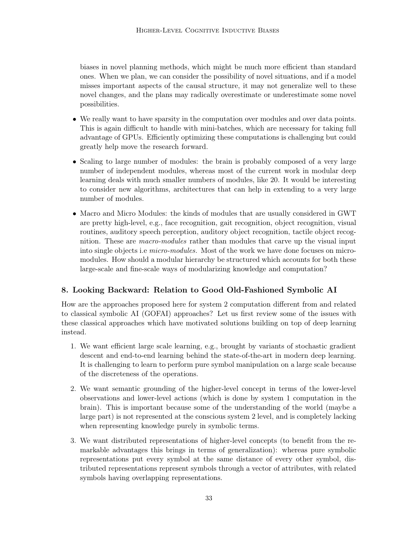biases in novel planning methods, which might be much more efficient than standard ones. When we plan, we can consider the possibility of novel situations, and if a model misses important aspects of the causal structure, it may not generalize well to these novel changes, and the plans may radically overestimate or underestimate some novel possibilities.

- We really want to have sparsity in the computation over modules and over data points. This is again difficult to handle with mini-batches, which are necessary for taking full advantage of GPUs. Efficiently optimizing these computations is challenging but could greatly help move the research forward.
- Scaling to large number of modules: the brain is probably composed of a very large number of independent modules, whereas most of the current work in modular deep learning deals with much smaller numbers of modules, like 20. It would be interesting to consider new algorithms, architectures that can help in extending to a very large number of modules.
- Macro and Micro Modules: the kinds of modules that are usually considered in GWT are pretty high-level, e.g., face recognition, gait recognition, object recognition, visual routines, auditory speech perception, auditory object recognition, tactile object recognition. These are macro-modules rather than modules that carve up the visual input into single objects i.e micro-modules. Most of the work we have done focuses on micromodules. How should a modular hierarchy be structured which accounts for both these large-scale and fine-scale ways of modularizing knowledge and computation?

# 8. Looking Backward: Relation to Good Old-Fashioned Symbolic AI

How are the approaches proposed here for system 2 computation different from and related to classical symbolic AI (GOFAI) approaches? Let us first review some of the issues with these classical approaches which have motivated solutions building on top of deep learning instead.

- 1. We want efficient large scale learning, e.g., brought by variants of stochastic gradient descent and end-to-end learning behind the state-of-the-art in modern deep learning. It is challenging to learn to perform pure symbol manipulation on a large scale because of the discreteness of the operations.
- 2. We want semantic grounding of the higher-level concept in terms of the lower-level observations and lower-level actions (which is done by system 1 computation in the brain). This is important because some of the understanding of the world (maybe a large part) is not represented at the conscious system 2 level, and is completely lacking when representing knowledge purely in symbolic terms.
- 3. We want distributed representations of higher-level concepts (to benefit from the remarkable advantages this brings in terms of generalization): whereas pure symbolic representations put every symbol at the same distance of every other symbol, distributed representations represent symbols through a vector of attributes, with related symbols having overlapping representations.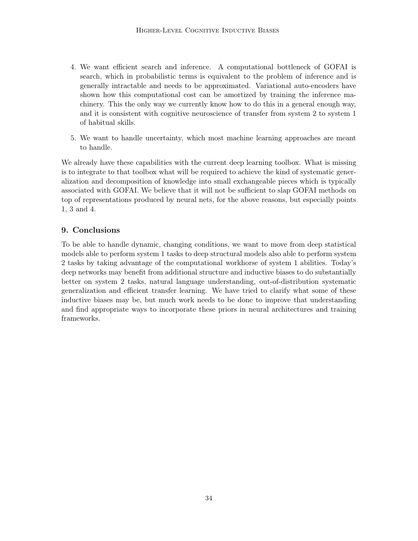- 4. We want efficient search and inference. A computational bottleneck of GOFAI is search, which in probabilistic terms is equivalent to the problem of inference and is generally intractable and needs to be approximated. Variational auto-encoders have shown how this computational cost can be amortized by training the inference machinery. This the only way we currently know how to do this in a general enough way, and it is consistent with cognitive neuroscience of transfer from system 2 to system 1 of habitual skills.
- 5. We want to handle uncertainty, which most machine learning approaches are meant to handle.

We already have these capabilities with the current deep learning toolbox. What is missing is to integrate to that toolbox what will be required to achieve the kind of systematic generalization and decomposition of knowledge into small exchangeable pieces which is typically associated with GOFAI. We believe that it will not be sufficient to slap GOFAI methods on top of representations produced by neural nets, for the above reasons, but especially points 1, 3 and 4.

# 9. Conclusions

To be able to handle dynamic, changing conditions, we want to move from deep statistical models able to perform system 1 tasks to deep structural models also able to perform system 2 tasks by taking advantage of the computational workhorse of system 1 abilities. Today's deep networks may benefit from additional structure and inductive biases to do substantially better on system 2 tasks, natural language understanding, out-of-distribution systematic generalization and efficient transfer learning. We have tried to clarify what some of these inductive biases may be, but much work needs to be done to improve that understanding and find appropriate ways to incorporate these priors in neural architectures and training frameworks.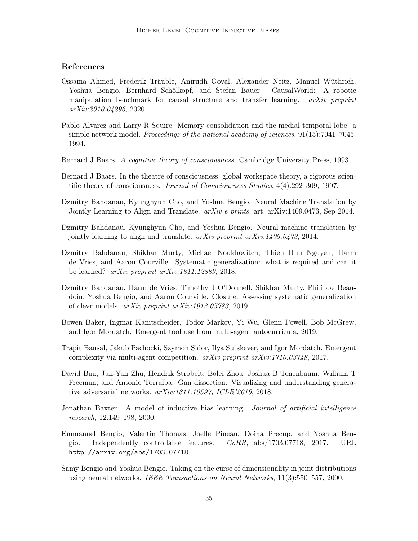## References

- <span id="page-34-5"></span>Ossama Ahmed, Frederik Träuble, Anirudh Goyal, Alexander Neitz, Manuel Wüthrich, Yoshua Bengio, Bernhard Schölkopf, and Stefan Bauer. CausalWorld: A robotic manipulation benchmark for causal structure and transfer learning. arXiv preprint arXiv:2010.04296, 2020.
- <span id="page-34-12"></span>Pablo Alvarez and Larry R Squire. Memory consolidation and the medial temporal lobe: a simple network model. Proceedings of the national academy of sciences, 91(15):7041–7045, 1994.
- <span id="page-34-8"></span>Bernard J Baars. A cognitive theory of consciousness. Cambridge University Press, 1993.
- <span id="page-34-9"></span>Bernard J Baars. In the theatre of consciousness. global workspace theory, a rigorous scientific theory of consciousness. Journal of Consciousness Studies, 4(4):292–309, 1997.
- <span id="page-34-4"></span>Dzmitry Bahdanau, Kyunghyun Cho, and Yoshua Bengio. Neural Machine Translation by Jointly Learning to Align and Translate.  $arXiv$  e-prints, art. arXiv:1409.0473, Sep 2014.
- <span id="page-34-11"></span>Dzmitry Bahdanau, Kyunghyun Cho, and Yoshua Bengio. Neural machine translation by jointly learning to align and translate. arXiv preprint arXiv:1409.0473, 2014.
- <span id="page-34-2"></span>Dzmitry Bahdanau, Shikhar Murty, Michael Noukhovitch, Thien Huu Nguyen, Harm de Vries, and Aaron Courville. Systematic generalization: what is required and can it be learned? arXiv preprint arXiv:1811.12889, 2018.
- <span id="page-34-6"></span>Dzmitry Bahdanau, Harm de Vries, Timothy J O'Donnell, Shikhar Murty, Philippe Beaudoin, Yoshua Bengio, and Aaron Courville. Closure: Assessing systematic generalization of clevr models. arXiv preprint arXiv:1912.05783, 2019.
- <span id="page-34-1"></span>Bowen Baker, Ingmar Kanitscheider, Todor Markov, Yi Wu, Glenn Powell, Bob McGrew, and Igor Mordatch. Emergent tool use from multi-agent autocurricula, 2019.
- <span id="page-34-0"></span>Trapit Bansal, Jakub Pachocki, Szymon Sidor, Ilya Sutskever, and Igor Mordatch. Emergent complexity via multi-agent competition. arXiv preprint arXiv:1710.03748, 2017.
- <span id="page-34-10"></span>David Bau, Jun-Yan Zhu, Hendrik Strobelt, Bolei Zhou, Joshua B Tenenbaum, William T Freeman, and Antonio Torralba. Gan dissection: Visualizing and understanding generative adversarial networks. arXiv:1811.10597, ICLR'2019, 2018.
- <span id="page-34-3"></span>Jonathan Baxter. A model of inductive bias learning. *Journal of artificial intelligence* research, 12:149–198, 2000.
- Emmanuel Bengio, Valentin Thomas, Joelle Pineau, Doina Precup, and Yoshua Bengio. Independently controllable features.  $CoRR$ ,  $abs/1703.07718$ , 2017. URL <http://arxiv.org/abs/1703.07718>.
- <span id="page-34-7"></span>Samy Bengio and Yoshua Bengio. Taking on the curse of dimensionality in joint distributions using neural networks. IEEE Transactions on Neural Networks, 11(3):550–557, 2000.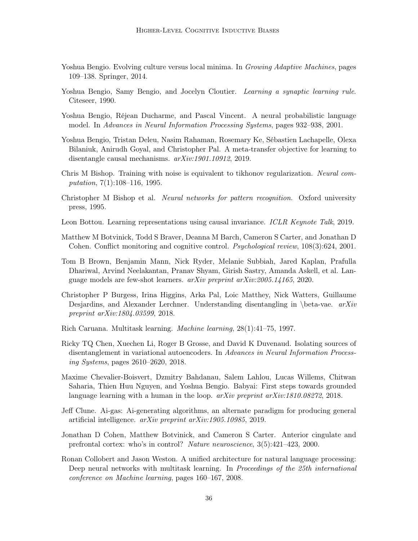- <span id="page-35-8"></span>Yoshua Bengio. Evolving culture versus local minima. In Growing Adaptive Machines, pages 109–138. Springer, 2014.
- <span id="page-35-6"></span>Yoshua Bengio, Samy Bengio, and Jocelyn Cloutier. *Learning a synaptic learning rule*. Citeseer, 1990.
- <span id="page-35-9"></span>Yoshua Bengio, Réjean Ducharme, and Pascal Vincent. A neural probabilistic language model. In Advances in Neural Information Processing Systems, pages 932–938, 2001.
- <span id="page-35-15"></span>Yoshua Bengio, Tristan Deleu, Nasim Rahaman, Rosemary Ke, Sébastien Lachapelle, Olexa Bilaniuk, Anirudh Goyal, and Christopher Pal. A meta-transfer objective for learning to disentangle causal mechanisms. arXiv:1901.10912, 2019.
- <span id="page-35-4"></span>Chris M Bishop. Training with noise is equivalent to tikhonov regularization. Neural computation, 7(1):108–116, 1995.
- <span id="page-35-3"></span>Christopher M Bishop et al. Neural networks for pattern recognition. Oxford university press, 1995.
- <span id="page-35-14"></span>Leon Bottou. Learning representations using causal invariance. ICLR Keynote Talk, 2019.
- <span id="page-35-10"></span>Matthew M Botvinick, Todd S Braver, Deanna M Barch, Cameron S Carter, and Jonathan D Cohen. Conflict monitoring and cognitive control. Psychological review, 108(3):624, 2001.
- <span id="page-35-0"></span>Tom B Brown, Benjamin Mann, Nick Ryder, Melanie Subbiah, Jared Kaplan, Prafulla Dhariwal, Arvind Neelakantan, Pranav Shyam, Girish Sastry, Amanda Askell, et al. Language models are few-shot learners. arXiv preprint arXiv:2005.14165, 2020.
- <span id="page-35-12"></span>Christopher P Burgess, Irina Higgins, Arka Pal, Loic Matthey, Nick Watters, Guillaume Desjardins, and Alexander Lerchner. Understanding disentangling in \beta-vae.  $arXiv$ preprint arXiv:1804.03599, 2018.
- <span id="page-35-1"></span>Rich Caruana. Multitask learning. Machine learning, 28(1):41–75, 1997.
- <span id="page-35-13"></span>Ricky TQ Chen, Xuechen Li, Roger B Grosse, and David K Duvenaud. Isolating sources of disentanglement in variational autoencoders. In Advances in Neural Information Processing Systems, pages 2610–2620, 2018.
- <span id="page-35-5"></span>Maxime Chevalier-Boisvert, Dzmitry Bahdanau, Salem Lahlou, Lucas Willems, Chitwan Saharia, Thien Huu Nguyen, and Yoshua Bengio. Babyai: First steps towards grounded language learning with a human in the loop.  $arXiv$  preprint  $arXiv:1810.08272$ , 2018.
- <span id="page-35-7"></span>Jeff Clune. Ai-gas: Ai-generating algorithms, an alternate paradigm for producing general artificial intelligence. arXiv preprint arXiv:1905.10985, 2019.
- <span id="page-35-11"></span>Jonathan D Cohen, Matthew Botvinick, and Cameron S Carter. Anterior cingulate and prefrontal cortex: who's in control? Nature neuroscience, 3(5):421–423, 2000.
- <span id="page-35-2"></span>Ronan Collobert and Jason Weston. A unified architecture for natural language processing: Deep neural networks with multitask learning. In *Proceedings of the 25th international* conference on Machine learning, pages 160–167, 2008.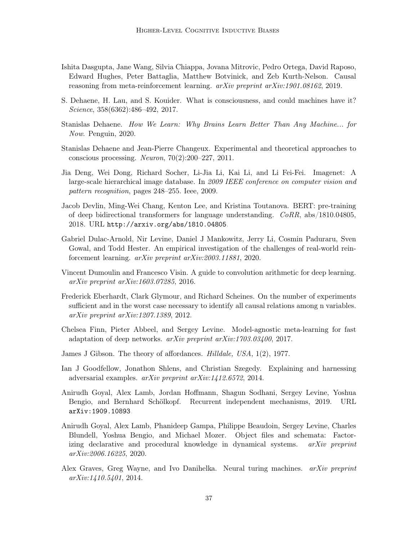- <span id="page-36-10"></span>Ishita Dasgupta, Jane Wang, Silvia Chiappa, Jovana Mitrovic, Pedro Ortega, David Raposo, Edward Hughes, Peter Battaglia, Matthew Botvinick, and Zeb Kurth-Nelson. Causal reasoning from meta-reinforcement learning. arXiv preprint arXiv:1901.08162, 2019.
- <span id="page-36-5"></span>S. Dehaene, H. Lau, and S. Kouider. What is consciousness, and could machines have it? Science, 358(6362):486–492, 2017.
- <span id="page-36-6"></span>Stanislas Dehaene. How We Learn: Why Brains Learn Better Than Any Machine... for Now. Penguin, 2020.
- <span id="page-36-13"></span>Stanislas Dehaene and Jean-Pierre Changeux. Experimental and theoretical approaches to conscious processing. Neuron,  $70(2):200-227$ ,  $2011$ .
- <span id="page-36-0"></span>Jia Deng, Wei Dong, Richard Socher, Li-Jia Li, Kai Li, and Li Fei-Fei. Imagenet: A large-scale hierarchical image database. In 2009 IEEE conference on computer vision and pattern recognition, pages 248–255. Ieee, 2009.
- Jacob Devlin, Ming-Wei Chang, Kenton Lee, and Kristina Toutanova. BERT: pre-training of deep bidirectional transformers for language understanding. CoRR, abs/1810.04805, 2018. URL <http://arxiv.org/abs/1810.04805>.
- <span id="page-36-4"></span>Gabriel Dulac-Arnold, Nir Levine, Daniel J Mankowitz, Jerry Li, Cosmin Paduraru, Sven Gowal, and Todd Hester. An empirical investigation of the challenges of real-world reinforcement learning. arXiv preprint arXiv:2003.11881, 2020.
- <span id="page-36-3"></span>Vincent Dumoulin and Francesco Visin. A guide to convolution arithmetic for deep learning. arXiv preprint arXiv:1603.07285, 2016.
- <span id="page-36-8"></span>Frederick Eberhardt, Clark Glymour, and Richard Scheines. On the number of experiments sufficient and in the worst case necessary to identify all causal relations among n variables. arXiv preprint arXiv:1207.1389, 2012.
- <span id="page-36-2"></span>Chelsea Finn, Pieter Abbeel, and Sergey Levine. Model-agnostic meta-learning for fast adaptation of deep networks.  $arXiv$  preprint  $arXiv:1703.03400$ , 2017.
- <span id="page-36-11"></span>James J Gibson. The theory of affordances. Hilldale, USA, 1(2), 1977.
- <span id="page-36-1"></span>Ian J Goodfellow, Jonathon Shlens, and Christian Szegedy. Explaining and harnessing adversarial examples. arXiv preprint arXiv:1412.6572, 2014.
- <span id="page-36-9"></span>Anirudh Goyal, Alex Lamb, Jordan Hoffmann, Shagun Sodhani, Sergey Levine, Yoshua Bengio, and Bernhard Schölkopf. Recurrent independent mechanisms, 2019. URL <arXiv:1909.10893>.
- <span id="page-36-7"></span>Anirudh Goyal, Alex Lamb, Phanideep Gampa, Philippe Beaudoin, Sergey Levine, Charles Blundell, Yoshua Bengio, and Michael Mozer. Object files and schemata: Factorizing declarative and procedural knowledge in dynamical systems. arXiv preprint arXiv:2006.16225, 2020.
- <span id="page-36-12"></span>Alex Graves, Greg Wayne, and Ivo Danihelka. Neural turing machines. arXiv preprint arXiv:1410.5401, 2014.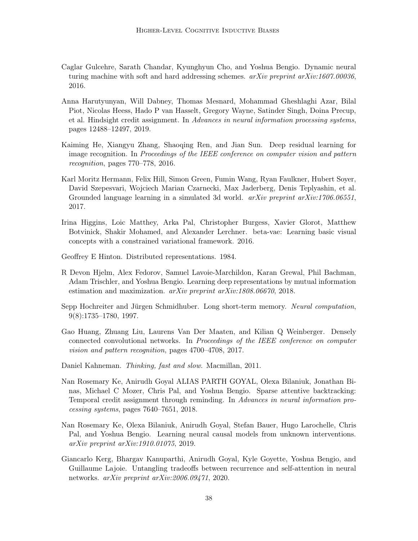- <span id="page-37-8"></span>Caglar Gulcehre, Sarath Chandar, Kyunghyun Cho, and Yoshua Bengio. Dynamic neural turing machine with soft and hard addressing schemes.  $arXiv$  preprint  $arXiv:1607.00036$ , 2016.
- <span id="page-37-11"></span>Anna Harutyunyan, Will Dabney, Thomas Mesnard, Mohammad Gheshlaghi Azar, Bilal Piot, Nicolas Heess, Hado P van Hasselt, Gregory Wayne, Satinder Singh, Doina Precup, et al. Hindsight credit assignment. In Advances in neural information processing systems, pages 12488–12497, 2019.
- <span id="page-37-0"></span>Kaiming He, Xiangyu Zhang, Shaoqing Ren, and Jian Sun. Deep residual learning for image recognition. In Proceedings of the IEEE conference on computer vision and pattern recognition, pages 770–778, 2016.
- <span id="page-37-5"></span>Karl Moritz Hermann, Felix Hill, Simon Green, Fumin Wang, Ryan Faulkner, Hubert Soyer, David Szepesvari, Wojciech Marian Czarnecki, Max Jaderberg, Denis Teplyashin, et al. Grounded language learning in a simulated 3d world. *arXiv preprint arXiv:1706.06551*, 2017.
- <span id="page-37-6"></span>Irina Higgins, Loic Matthey, Arka Pal, Christopher Burgess, Xavier Glorot, Matthew Botvinick, Shakir Mohamed, and Alexander Lerchner. beta-vae: Learning basic visual concepts with a constrained variational framework. 2016.
- <span id="page-37-3"></span>Geoffrey E Hinton. Distributed representations. 1984.
- <span id="page-37-12"></span>R Devon Hjelm, Alex Fedorov, Samuel Lavoie-Marchildon, Karan Grewal, Phil Bachman, Adam Trischler, and Yoshua Bengio. Learning deep representations by mutual information estimation and maximization. arXiv preprint arXiv:1808.06670, 2018.
- <span id="page-37-2"></span>Sepp Hochreiter and Jürgen Schmidhuber. Long short-term memory. Neural computation, 9(8):1735–1780, 1997.
- <span id="page-37-1"></span>Gao Huang, Zhuang Liu, Laurens Van Der Maaten, and Kilian Q Weinberger. Densely connected convolutional networks. In Proceedings of the IEEE conference on computer vision and pattern recognition, pages 4700–4708, 2017.
- <span id="page-37-4"></span>Daniel Kahneman. Thinking, fast and slow. Macmillan, 2011.
- <span id="page-37-9"></span>Nan Rosemary Ke, Anirudh Goyal ALIAS PARTH GOYAL, Olexa Bilaniuk, Jonathan Binas, Michael C Mozer, Chris Pal, and Yoshua Bengio. Sparse attentive backtracking: Temporal credit assignment through reminding. In Advances in neural information processing systems, pages 7640–7651, 2018.
- <span id="page-37-7"></span>Nan Rosemary Ke, Olexa Bilaniuk, Anirudh Goyal, Stefan Bauer, Hugo Larochelle, Chris Pal, and Yoshua Bengio. Learning neural causal models from unknown interventions. arXiv preprint arXiv:1910.01075, 2019.
- <span id="page-37-10"></span>Giancarlo Kerg, Bhargav Kanuparthi, Anirudh Goyal, Kyle Goyette, Yoshua Bengio, and Guillaume Lajoie. Untangling tradeoffs between recurrence and self-attention in neural networks. arXiv preprint arXiv:2006.09471, 2020.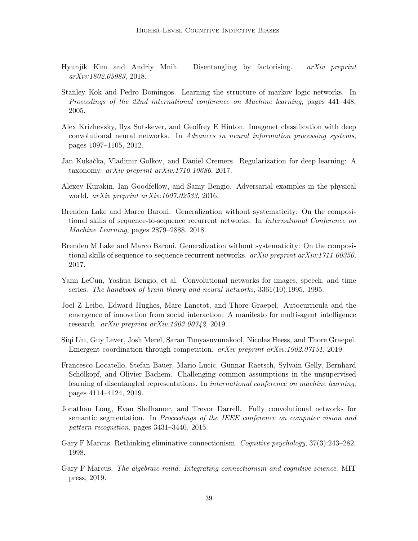- <span id="page-38-11"></span>Hyunjik Kim and Andriy Mnih. Disentangling by factorising. arXiv preprint arXiv:1802.05983, 2018.
- <span id="page-38-13"></span>Stanley Kok and Pedro Domingos. Learning the structure of markov logic networks. In Proceedings of the 22nd international conference on Machine learning, pages 441–448, 2005.
- <span id="page-38-9"></span>Alex Krizhevsky, Ilya Sutskever, and Geoffrey E Hinton. Imagenet classification with deep convolutional neural networks. In Advances in neural information processing systems, pages 1097–1105, 2012.
- <span id="page-38-6"></span>Jan Kukačka, Vladimir Golkov, and Daniel Cremers. Regularization for deep learning: A taxonomy.  $arXiv$  preprint  $arXiv:1710.10686$ , 2017.
- <span id="page-38-5"></span>Alexey Kurakin, Ian Goodfellow, and Samy Bengio. Adversarial examples in the physical world. arXiv preprint arXiv:1607.02533, 2016.
- <span id="page-38-10"></span>Brenden Lake and Marco Baroni. Generalization without systematicity: On the compositional skills of sequence-to-sequence recurrent networks. In International Conference on Machine Learning, pages 2879–2888, 2018.
- <span id="page-38-4"></span>Brenden M Lake and Marco Baroni. Generalization without systematicity: On the compositional skills of sequence-to-sequence recurrent networks. arXiv preprint arXiv:1711.00350, 2017.
- <span id="page-38-8"></span>Yann LeCun, Yoshua Bengio, et al. Convolutional networks for images, speech, and time series. The handbook of brain theory and neural networks, 3361(10):1995, 1995.
- <span id="page-38-1"></span>Joel Z Leibo, Edward Hughes, Marc Lanctot, and Thore Graepel. Autocurricula and the emergence of innovation from social interaction: A manifesto for multi-agent intelligence research. arXiv preprint arXiv:1903.00742, 2019.
- <span id="page-38-0"></span>Siqi Liu, Guy Lever, Josh Merel, Saran Tunyasuvunakool, Nicolas Heess, and Thore Graepel. Emergent coordination through competition. arXiv preprint arXiv:1902.07151, 2019.
- <span id="page-38-12"></span>Francesco Locatello, Stefan Bauer, Mario Lucic, Gunnar Raetsch, Sylvain Gelly, Bernhard Schölkopf, and Olivier Bachem. Challenging common assumptions in the unsupervised learning of disentangled representations. In international conference on machine learning, pages 4114–4124, 2019.
- <span id="page-38-7"></span>Jonathan Long, Evan Shelhamer, and Trevor Darrell. Fully convolutional networks for semantic segmentation. In Proceedings of the IEEE conference on computer vision and pattern recognition, pages 3431–3440, 2015.
- <span id="page-38-2"></span>Gary F Marcus. Rethinking eliminative connectionism. Cognitive psychology, 37(3):243–282, 1998.
- <span id="page-38-3"></span>Gary F Marcus. The algebraic mind: Integrating connectionism and cognitive science. MIT press, 2019.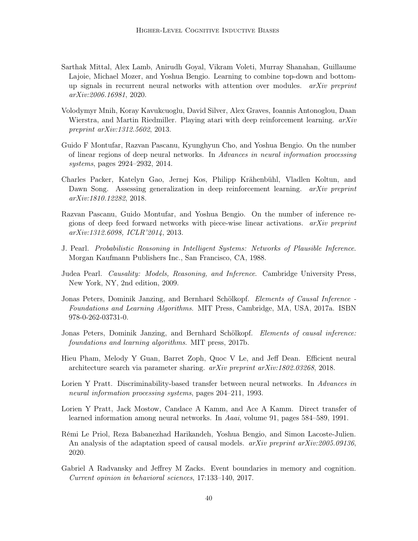- <span id="page-39-12"></span>Sarthak Mittal, Alex Lamb, Anirudh Goyal, Vikram Voleti, Murray Shanahan, Guillaume Lajoie, Michael Mozer, and Yoshua Bengio. Learning to combine top-down and bottomup signals in recurrent neural networks with attention over modules.  $arXiv$  preprint arXiv:2006.16981, 2020.
- <span id="page-39-0"></span>Volodymyr Mnih, Koray Kavukcuoglu, David Silver, Alex Graves, Ioannis Antonoglou, Daan Wierstra, and Martin Riedmiller. Playing atari with deep reinforcement learning. arXiv preprint arXiv:1312.5602, 2013.
- <span id="page-39-5"></span>Guido F Montufar, Razvan Pascanu, Kyunghyun Cho, and Yoshua Bengio. On the number of linear regions of deep neural networks. In Advances in neural information processing systems, pages 2924–2932, 2014.
- <span id="page-39-6"></span>Charles Packer, Katelyn Gao, Jernej Kos, Philipp Krähenbühl, Vladlen Koltun, and Dawn Song. Assessing generalization in deep reinforcement learning. *arXiv preprint* arXiv:1810.12282, 2018.
- <span id="page-39-4"></span>Razvan Pascanu, Guido Montufar, and Yoshua Bengio. On the number of inference regions of deep feed forward networks with piece-wise linear activations.  $arXiv$  preprint arXiv:1312.6098, ICLR'2014, 2013.
- <span id="page-39-13"></span>J. Pearl. Probabilistic Reasoning in Intelligent Systems: Networks of Plausible Inference. Morgan Kaufmann Publishers Inc., San Francisco, CA, 1988.
- <span id="page-39-2"></span>Judea Pearl. Causality: Models, Reasoning, and Inference. Cambridge University Press, New York, NY, 2nd edition, 2009.
- <span id="page-39-10"></span>Jonas Peters, Dominik Janzing, and Bernhard Schölkopf. Elements of Causal Inference - Foundations and Learning Algorithms. MIT Press, Cambridge, MA, USA, 2017a. ISBN 978-0-262-03731-0.
- <span id="page-39-1"></span>Jonas Peters, Dominik Janzing, and Bernhard Schölkopf. Elements of causal inference: foundations and learning algorithms. MIT press, 2017b.
- <span id="page-39-3"></span>Hieu Pham, Melody Y Guan, Barret Zoph, Quoc V Le, and Jeff Dean. Efficient neural architecture search via parameter sharing. arXiv preprint arXiv:1802.03268, 2018.
- <span id="page-39-8"></span>Lorien Y Pratt. Discriminability-based transfer between neural networks. In Advances in neural information processing systems, pages 204–211, 1993.
- <span id="page-39-7"></span>Lorien Y Pratt, Jack Mostow, Candace A Kamm, and Ace A Kamm. Direct transfer of learned information among neural networks. In Aaai, volume 91, pages 584–589, 1991.
- <span id="page-39-11"></span>Rémi Le Priol, Reza Babanezhad Harikandeh, Yoshua Bengio, and Simon Lacoste-Julien. An analysis of the adaptation speed of causal models. *arXiv preprint arXiv:2005.09136*, 2020.
- <span id="page-39-9"></span>Gabriel A Radvansky and Jeffrey M Zacks. Event boundaries in memory and cognition. Current opinion in behavioral sciences, 17:133–140, 2017.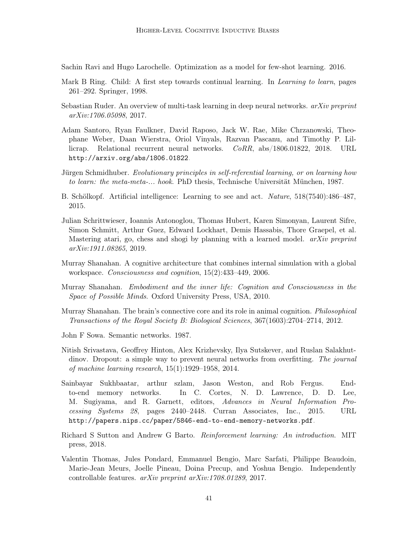<span id="page-40-2"></span>Sachin Ravi and Hugo Larochelle. Optimization as a model for few-shot learning. 2016.

- <span id="page-40-5"></span>Mark B Ring. Child: A first step towards continual learning. In *Learning to learn*, pages 261–292. Springer, 1998.
- <span id="page-40-1"></span>Sebastian Ruder. An overview of multi-task learning in deep neural networks.  $arXiv$  preprint arXiv:1706.05098, 2017.
- <span id="page-40-13"></span>Adam Santoro, Ryan Faulkner, David Raposo, Jack W. Rae, Mike Chrzanowski, Theophane Weber, Daan Wierstra, Oriol Vinyals, Razvan Pascanu, and Timothy P. Lillicrap. Relational recurrent neural networks. CoRR, abs/1806.01822, 2018. URL <http://arxiv.org/abs/1806.01822>.
- <span id="page-40-6"></span>Jürgen Schmidhuber. Evolutionary principles in self-referential learning, or on learning how to learn: the meta-meta-... hook. PhD thesis, Technische Universität München, 1987.
- <span id="page-40-3"></span>B. Schölkopf. Artificial intelligence: Learning to see and act. Nature, 518(7540):486–487, 2015.
- <span id="page-40-0"></span>Julian Schrittwieser, Ioannis Antonoglou, Thomas Hubert, Karen Simonyan, Laurent Sifre, Simon Schmitt, Arthur Guez, Edward Lockhart, Demis Hassabis, Thore Graepel, et al. Mastering atari, go, chess and shogi by planning with a learned model.  $arXiv$  preprint arXiv:1911.08265, 2019.
- <span id="page-40-7"></span>Murray Shanahan. A cognitive architecture that combines internal simulation with a global workspace. Consciousness and cognition, 15(2):433–449, 2006.
- <span id="page-40-8"></span>Murray Shanahan. Embodiment and the inner life: Cognition and Consciousness in the Space of Possible Minds. Oxford University Press, USA, 2010.
- <span id="page-40-9"></span>Murray Shanahan. The brain's connective core and its role in animal cognition. *Philosophical* Transactions of the Royal Society B: Biological Sciences, 367(1603):2704–2714, 2012.
- <span id="page-40-10"></span>John F Sowa. Semantic networks. 1987.
- <span id="page-40-4"></span>Nitish Srivastava, Geoffrey Hinton, Alex Krizhevsky, Ilya Sutskever, and Ruslan Salakhutdinov. Dropout: a simple way to prevent neural networks from overfitting. The journal of machine learning research, 15(1):1929–1958, 2014.
- <span id="page-40-12"></span>Sainbayar Sukhbaatar, arthur szlam, Jason Weston, and Rob Fergus. Endto-end memory networks. In C. Cortes, N. D. Lawrence, D. D. Lee, M. Sugiyama, and R. Garnett, editors, Advances in Neural Information Processing Systems 28, pages 2440–2448. Curran Associates, Inc., 2015. URL <http://papers.nips.cc/paper/5846-end-to-end-memory-networks.pdf>.
- <span id="page-40-14"></span>Richard S Sutton and Andrew G Barto. Reinforcement learning: An introduction. MIT press, 2018.
- <span id="page-40-11"></span>Valentin Thomas, Jules Pondard, Emmanuel Bengio, Marc Sarfati, Philippe Beaudoin, Marie-Jean Meurs, Joelle Pineau, Doina Precup, and Yoshua Bengio. Independently controllable features. arXiv preprint arXiv:1708.01289, 2017.